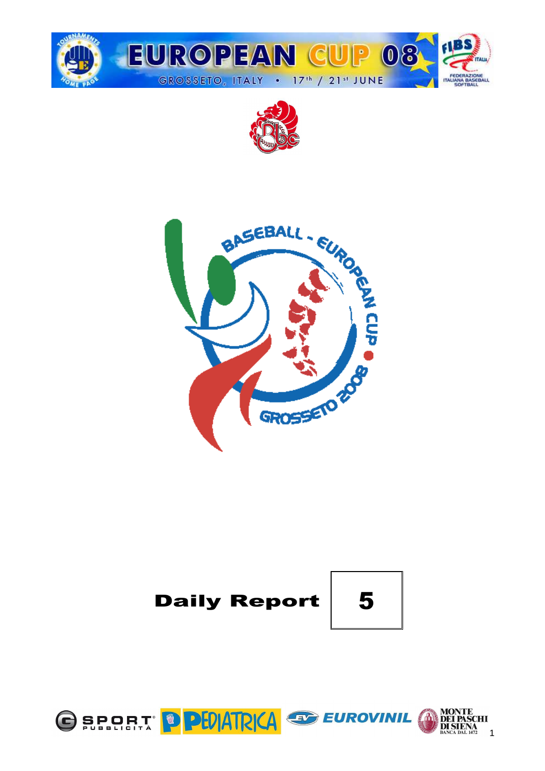







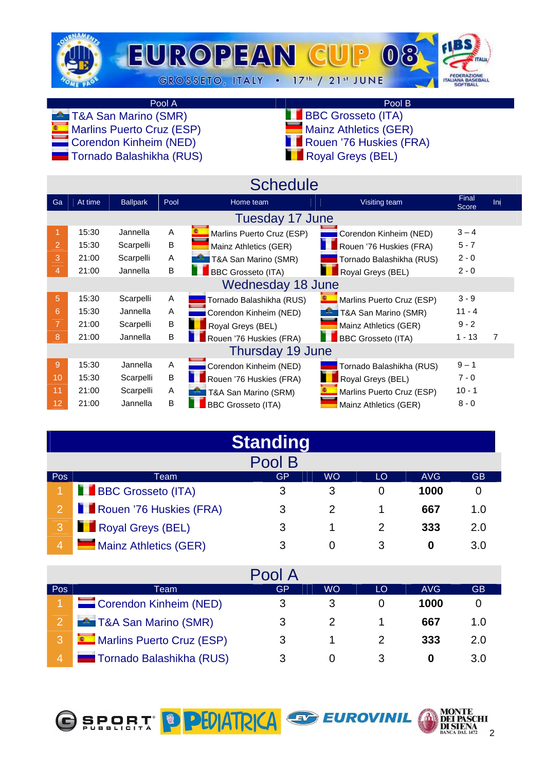

# Pool A Pool B

 $\blacksquare$  Marlins Puerto Cruz (ESP)

- **TAA San Marino (SMR)** BBC Grosseto (ITA)<br>
Marins Puerto Cruz (ESP) Mainz Athletics (GER)
	-
	- $\blacksquare$  Corendon Kinheim (NED)  $\blacksquare$  Rouen '76 Huskies (FRA)
	- Tornado Balashikha (RUS) Royal Greys (BEL)

|                |         |                 |      | <b>Schedule</b>               |                           |                |     |
|----------------|---------|-----------------|------|-------------------------------|---------------------------|----------------|-----|
| Ga             | At time | <b>Ballpark</b> | Pool | Home team                     | Visiting team             | Final<br>Score | Ini |
|                |         |                 |      | Tuesday 17 June               |                           |                |     |
|                | 15:30   | Jannella        | A    | Marlins Puerto Cruz (ESP)     | Corendon Kinheim (NED)    | $3 - 4$        |     |
| $\overline{2}$ | 15:30   | Scarpelli       | B    | Mainz Athletics (GER)         | Rouen '76 Huskies (FRA)   | $5 - 7$        |     |
| 3              | 21:00   | Scarpelli       | A    | <b>P</b> T&A San Marino (SMR) | Tornado Balashikha (RUS)  | $2 - 0$        |     |
| 4              | 21:00   | Jannella        | B    | <b>BBC Grosseto (ITA)</b>     | Royal Greys (BEL)         | $2 - 0$        |     |
|                |         |                 |      | <b>Wednesday 18 June</b>      |                           |                |     |
| 5              | 15:30   | Scarpelli       | Α    | Tornado Balashikha (RUS)      | Marlins Puerto Cruz (ESP) | $3 - 9$        |     |
| 6              | 15:30   | Jannella        | A    | Corendon Kinheim (NED)        | T&A San Marino (SMR)      | $11 - 4$       |     |
| 7              | 21:00   | Scarpelli       | B    | Royal Greys (BEL)             | Mainz Athletics (GER)     | $9 - 2$        |     |
| 8              | 21:00   | Jannella        | B    | Rouen '76 Huskies (FRA)       | <b>BBC Grosseto (ITA)</b> | $1 - 13$       | 7   |
|                |         |                 |      | Thursday 19 June              |                           |                |     |
| 9              | 15:30   | Jannella        | Α    | Corendon Kinheim (NED)        | Tornado Balashikha (RUS)  | $9 - 1$        |     |
| 10             | 15:30   | Scarpelli       | В    | Rouen '76 Huskies (FRA)       | Royal Greys (BEL)         | $7 - 0$        |     |
| 11             | 21:00   | Scarpelli       | A    | T&A San Marino (SRM)          | Marlins Puerto Cruz (ESP) | $10 - 1$       |     |
| 12             | 21:00   | Jannella        | B    | <b>BBC Grosseto (ITA)</b>     | Mainz Athletics (GER)     | $8 - 0$        |     |

|                |                                                    | <b>Standing</b> |   |   |      |             |  |  |  |  |  |  |  |  |  |
|----------------|----------------------------------------------------|-----------------|---|---|------|-------------|--|--|--|--|--|--|--|--|--|
|                |                                                    | Pool B          |   |   |      |             |  |  |  |  |  |  |  |  |  |
| Pos            | GP<br>AVG<br><b>GB</b><br><b>WO</b><br>LO<br>Team. |                 |   |   |      |             |  |  |  |  |  |  |  |  |  |
|                | <b>BBC Grosseto (ITA)</b>                          | 3               | 3 | 0 | 1000 |             |  |  |  |  |  |  |  |  |  |
| $\overline{2}$ | Rouen '76 Huskies (FRA)                            | 3               |   |   | 667  | 1. $\Omega$ |  |  |  |  |  |  |  |  |  |
| 3              | Royal Greys (BEL)                                  | 3               |   |   | 333  | 2.0         |  |  |  |  |  |  |  |  |  |
| 4              | Mainz Athletics (GER)                              | 3               |   | 3 | 0    | 3.0         |  |  |  |  |  |  |  |  |  |

|                |                               | Pool A |           |    |      |             |
|----------------|-------------------------------|--------|-----------|----|------|-------------|
| Pos            | Team                          | GP     | <b>WO</b> | LO | AVG  | <b>GB</b>   |
|                | Corendon Kinheim (NED)        | 3      |           |    | 1000 |             |
|                | <b>E</b> T&A San Marino (SMR) | 3      |           |    | 667  | 1. $\Omega$ |
|                | Marlins Puerto Cruz (ESP)     | 3      |           |    | 333  | 2.0         |
| $\overline{4}$ | Tornado Balashikha (RUS)      |        |           |    |      | 3.0         |



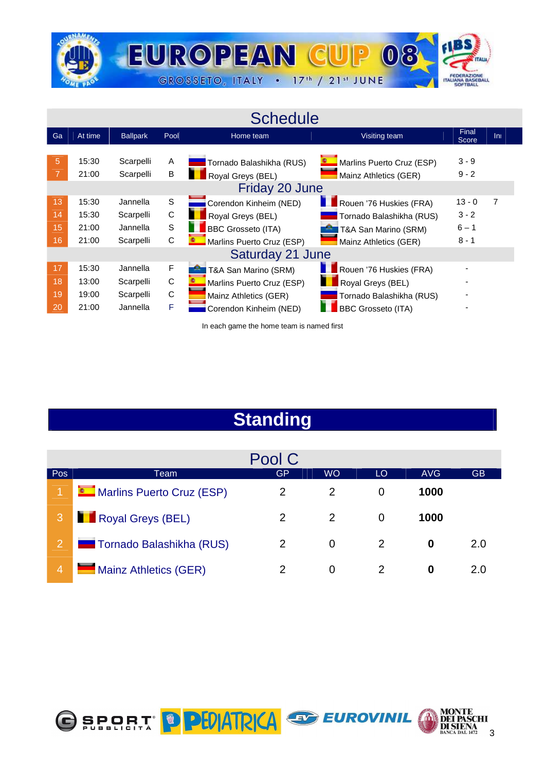

# **Schedule**

| Ga                   | At time                          | <b>Ballpark</b>                                | Pool             | Home team                                                                                                                | Visiting team                                                                                         | Final<br>Score                            | $\overline{\ln}$ |  |
|----------------------|----------------------------------|------------------------------------------------|------------------|--------------------------------------------------------------------------------------------------------------------------|-------------------------------------------------------------------------------------------------------|-------------------------------------------|------------------|--|
| 5                    | 15:30<br>21:00                   | Scarpelli<br>Scarpelli                         | A<br>В           | Tornado Balashikha (RUS)<br>Royal Greys (BEL)<br>Friday 20 June                                                          | Marlins Puerto Cruz (ESP)<br>Mainz Athletics (GER)                                                    | $3 - 9$<br>$9 - 2$                        |                  |  |
| 13<br>14<br>15<br>16 | 15:30<br>15:30<br>21:00<br>21:00 | Jannella<br>Scarpelli<br>Jannella<br>Scarpelli | S<br>C<br>S<br>С | Corendon Kinheim (NED)<br>Royal Greys (BEL)<br><b>BBC Grosseto (ITA)</b><br>Marlins Puerto Cruz (ESP)                    | Rouen '76 Huskies (FRA)<br>Tornado Balashikha (RUS)<br>T&A San Marino (SRM)<br>Mainz Athletics (GER)  | $13 - 0$<br>$3 - 2$<br>$6 - 1$<br>$8 - 1$ |                  |  |
| 17<br>18<br>19<br>20 | 15:30<br>13:00<br>19:00<br>21:00 | Jannella<br>Scarpelli<br>Scarpelli<br>Jannella | F<br>C<br>С<br>F | Saturday 21 June<br>T&A San Marino (SRM)<br>Marlins Puerto Cruz (ESP)<br>Mainz Athletics (GER)<br>Corendon Kinheim (NED) | Rouen '76 Huskies (FRA)<br>Royal Greys (BEL)<br>Tornado Balashikha (RUS)<br><b>BBC Grosseto (ITA)</b> |                                           |                  |  |

In each game the home team is named first

# **Standing**

|                |                              | Pool C |                |    |            |     |
|----------------|------------------------------|--------|----------------|----|------------|-----|
| Pos            | Team                         | GP     | <b>WO</b>      | LO | <b>AVG</b> | GB. |
|                | Marlins Puerto Cruz (ESP)    | 2      | 2              | 0  | 1000       |     |
| 3              | Royal Greys (BEL)            | 2      | $\mathcal{P}$  | 0  | 1000       |     |
| $\overline{2}$ | Tornado Balashikha (RUS)     | 2      | 0              | 2  | 0          | 2.0 |
| 4              | <b>Mainz Athletics (GER)</b> | 2      | $\overline{0}$ |    | 0          | 2.0 |



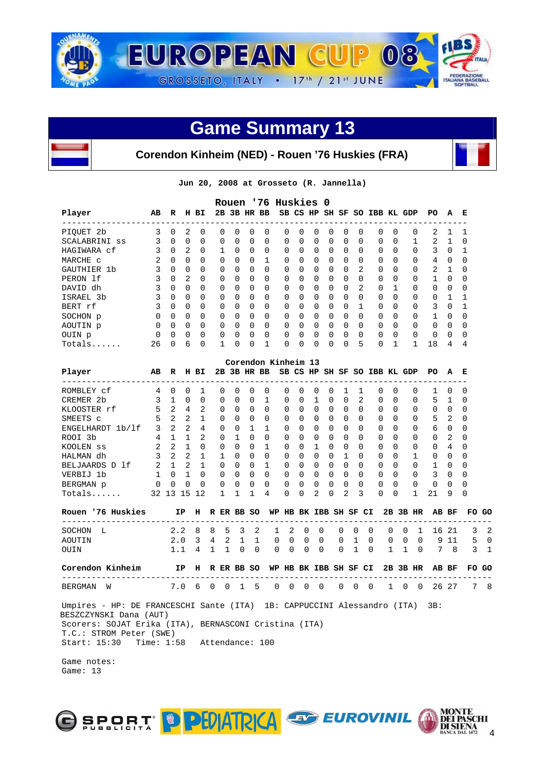

# **Corendon Kinheim (NED) - Rouen '76 Huskies (FRA)**

**Jun 20, 2008 at Grosseto (R. Jannella)** 

|               |               |              |          |          |          |              |              |             | Rouen '76 Huskies 0 |              |          |              |          |              |                              |              |          |          |          |              |
|---------------|---------------|--------------|----------|----------|----------|--------------|--------------|-------------|---------------------|--------------|----------|--------------|----------|--------------|------------------------------|--------------|----------|----------|----------|--------------|
| Player        | AB            | R            | н        | вI       |          |              |              | 2B 3B HR BB |                     |              |          |              |          |              | SB CS HP SH SF SO IBB KL GDP |              |          | PO.      | A        | Е            |
| PIOUET 2b     | 3             | $\Omega$     | 2        | $\Omega$ | $\Omega$ | <sup>0</sup> | O            | 0           | 0                   | <sup>n</sup> | $\Omega$ | <sup>0</sup> | $\Omega$ | O            | $\Omega$                     | <sup>0</sup> | $\Omega$ | 2        |          |              |
| SCALABRINI ss |               | $\Omega$     | 0        | $\Omega$ | $\Omega$ | $\Omega$     | 0            | 0           | $\Omega$            | $\Omega$     | $\Omega$ | 0            | $\Omega$ | 0            | $\Omega$                     | 0            |          | 2        |          | 0            |
| HAGIWARA cf   | 3             | $\Omega$     | 2        | $\Omega$ | 1.       | $\Omega$     | $\Omega$     | $\Omega$    | $\Omega$            | <sup>0</sup> | $\Omega$ | $\Omega$     | $\Omega$ | <sup>0</sup> | $\Omega$                     | <sup>0</sup> | $\Omega$ | 3        | $\Omega$ |              |
| MARCHE C      | $\mathcal{L}$ | $\Omega$     | $\Omega$ | $\Omega$ | $\Omega$ | $\Omega$     | <sup>0</sup> |             | $\Omega$            | $\Omega$     | $\Omega$ | $\Omega$     | $\Omega$ | <sup>0</sup> | $\Omega$                     | <sup>0</sup> | $\Omega$ | 4        | $\Omega$ | <sup>0</sup> |
| GAUTHIER 1b   |               | $\Omega$     | 0        | $\Omega$ | $\Omega$ | $\Omega$     | 0            | 0           | $\Omega$            | <sup>0</sup> | $\Omega$ | 0            | 0        | 2            | 0                            | 0            | 0        | 2        |          | 0            |
| PERON 1f      | 3             | $\Omega$     | 2        | $\Omega$ | $\Omega$ | $\Omega$     | $\Omega$     | $\Omega$    | $\Omega$            | $\cap$       | $\Omega$ | $\Omega$     | $\Omega$ | <sup>0</sup> | $\Omega$                     | $\Omega$     | $\Omega$ |          | $\Omega$ | $\Omega$     |
| DAVID dh      |               | $\Omega$     | 0        | $\Omega$ | $\Omega$ | $\cap$       | $\Omega$     | $\Omega$    | 0                   | $\Omega$     | $\Omega$ | $\Omega$     | $\Omega$ | 2            | $\Omega$                     |              | $\Omega$ | 0        | $\Omega$ | O            |
| ISRAEL 3b     |               | $\Omega$     | 0        | $\Omega$ | $\Omega$ | $\Omega$     | $\Omega$     | 0           | $\Omega$            | $\Omega$     | $\Omega$ | 0            | $\Omega$ | $\Omega$     | $\Omega$                     | 0            | $\Omega$ | $\Omega$ |          |              |
| BERT rf       | 3             | $\Omega$     | 0        | $\Omega$ | $\Omega$ | $\Omega$     | $\Omega$     | $\Omega$    | $\Omega$            | <sup>0</sup> | $\Omega$ | $\Omega$     | $\Omega$ |              | $\Omega$                     | <sup>0</sup> | $\Omega$ | 3        | $\Omega$ |              |
| SOCHON p      | <sup>0</sup>  | $\Omega$     | 0        | $\Omega$ | $\Omega$ | U            | <sup>0</sup> | $\Omega$    | 0                   | <sup>n</sup> | $\Omega$ | $\Omega$     | $\Omega$ | <sup>0</sup> | $\Omega$                     | <sup>0</sup> | $\Omega$ |          | $\cap$   | $\Omega$     |
| AOUTIN p      | $\Omega$      | $\Omega$     | 0        | $\Omega$ | $\Omega$ | $\Omega$     | $\Omega$     | $\Omega$    | $\Omega$            | $\Omega$     | $\Omega$ | $\Omega$     | $\Omega$ | 0            | $\Omega$                     | 0            | $\Omega$ | 0        | $\Omega$ | 0            |
| OUIN p        | $\Omega$      | $\Omega$     | 0        | $\Omega$ | $\Omega$ | <sup>n</sup> | $\Omega$     | $\Omega$    | 0                   | <sup>n</sup> | $\Omega$ | $\Omega$     | $\Omega$ | <sup>0</sup> | $\Omega$                     | <sup>0</sup> | $\Omega$ | 0        | $\Omega$ | $\Omega$     |
| $Totals$      | 26            | <sup>n</sup> | б        | $\Omega$ |          |              | <sup>0</sup> |             | 0                   |              | $\Omega$ | $\Omega$     | $\cap$   | 5            | 0                            |              |          | 18       | 4        | 4            |

|                                  |                |                |                |              |              |              |          |              | Corendon Kinheim 13 |                              |                 |              |              |              |              |          |              |              |              |              |              |              |    |
|----------------------------------|----------------|----------------|----------------|--------------|--------------|--------------|----------|--------------|---------------------|------------------------------|-----------------|--------------|--------------|--------------|--------------|----------|--------------|--------------|--------------|--------------|--------------|--------------|----|
| Player                           | AB             | R              |                | H BI         |              |              |          | 2B 3B HR BB  |                     | SB CS HP SH SF SO IBB KL GDP |                 |              |              |              |              |          |              |              |              | PO.          | A            | Е            |    |
| ROMBLEY cf                       | 4              | 0              | 0              |              |              | <sup>n</sup> | 0        | <sup>n</sup> | <sup>n</sup>        | U                            | U               | <sup>0</sup> | U            |              |              |          | 0            | <sup>n</sup> | <sup>n</sup> |              | 0            | 0            |    |
| CREMER 2b                        | $\mathcal{L}$  | $\mathbf{1}$   | $\Omega$       | <sup>n</sup> |              | <sup>n</sup> | 0        | <sup>n</sup> | 1                   | <sup>n</sup>                 | <sup>n</sup>    | 1            | $\Omega$     | $\Omega$     | 2            |          | 0            | 0            | <sup>n</sup> | 5            |              | 0            |    |
| KLOOSTER rf                      | 5              | 2              | 4              | 2            |              | 0            | 0        | 0            | $\Omega$            | <sup>0</sup>                 | 0               | 0            | $\Omega$     | 0            | <sup>n</sup> |          | 0            | 0            | <sup>n</sup> | <sup>0</sup> | <sup>0</sup> | 0            |    |
| SMEETS C                         | 5              | $\mathfrak{D}$ | $\mathfrak{D}$ |              |              | 0            | 0        | $\Omega$     | $\Omega$            | <sup>0</sup>                 | 0               | 0            | $\Omega$     | 0            | 0            |          | 0            | 0            | <sup>n</sup> | 5            | 2            | 0            |    |
| ENGELHARDT 1b/1f                 | 3              | $\overline{2}$ | $\overline{2}$ | 4            |              | <sup>n</sup> | 0        | 1            | 1                   | <sup>n</sup>                 | <sup>0</sup>    | <sup>0</sup> | 0            | 0            | U            |          | $\Omega$     | 0            | <sup>n</sup> | 6            | 0            | 0            |    |
| ROOI 3b                          | $\overline{4}$ | $\mathbf{1}$   |                | 2            |              | 0            | 1        | 0            | 0                   | <sup>0</sup>                 | 0               | 0            | 0            | 0            | 0            |          | $\Omega$     | 0            | <sup>n</sup> | 0            | 2            | 0            |    |
| KOOLEN SS                        | 2              | 2              |                | $\Omega$     |              | <sup>n</sup> | 0        | <sup>n</sup> | 1                   | <sup>0</sup>                 | 0               |              | <sup>0</sup> | 0            | 0            |          | 0            | $\Omega$     | <sup>n</sup> | <sup>0</sup> | 4            | <sup>0</sup> |    |
| HALMAN dh                        | 3              | $\mathfrak{D}$ | $\mathcal{L}$  |              |              | 1            | 0        | 0            | 0                   | <sup>0</sup>                 | 0               | 0            | 0            |              | <sup>0</sup> |          | $\Omega$     | 0            |              | <sup>0</sup> | 0            | <sup>0</sup> |    |
| BELJAARDS D 1f                   | 2              | $\mathbf{1}$   | $\mathcal{L}$  |              |              | $\Omega$     | 0        | <sup>n</sup> |                     | U                            | O.              | U            | 0            | <sup>n</sup> | U            |          | $\Omega$     | $\cap$       |              | 1            | 0            | O            |    |
| VERBIJ 1b                        | $\mathbf{1}$   | $\Omega$       |                | $\Omega$     |              | 0            | 0        | $\Omega$     | $\Omega$            | <sup>0</sup>                 | 0               | 0            | 0            | 0            | 0            |          | 0            | 0            | <sup>n</sup> | 3            | 0            | 0            |    |
| BERGMAN p                        | $\Omega$       | $\Omega$       | 0              | $\Omega$     |              | 0            | 0        | $\Omega$     | 0                   | 0                            | 0               | 0            | $\Omega$     | 0            | <sup>0</sup> |          | $\Omega$     | 0            | <sup>n</sup> | 0            | <sup>0</sup> | <sup>0</sup> |    |
| $Totals$                         |                | 32 13          | 15             | 12           |              | $\mathbf{1}$ |          |              | 4                   | 0                            | 0               | 2            | 0            | 2            | 3            |          | <sup>0</sup> | 0            |              | 21           | 9            | 0            |    |
| Rouen '76 Huskies                |                |                | ΙP             | н            |              |              |          | R ER BB SO   | WP                  |                              | HB BK IBB SH SF |              |              |              |              | CI       |              |              | 2B 3B HR     | AВ           | ВF           | FO.          | GO |
| -----------------<br>SOCHON<br>L |                |                | 2.2            | 8            | 8            | 5            | 3        | 2            |                     | 2                            | $\Omega$        | $\Omega$     |              | $\Omega$     | 0            | $\cap$   | 0            | $\Omega$     |              | 16           | -21          | 3            |    |
| AOUTIN                           |                |                | 2.0            | 3            | 4            | 2            |          | 1<br>1       | $\mathbf 0$         | $\Omega$                     | $\Omega$        | $\Omega$     |              | $\Omega$     | $\mathbf{1}$ | $\Omega$ | $\Omega$     | $\Omega$     | $\Omega$     | 9            | 11           | 5            |    |
| OUIN                             |                |                | 1.1            | 4            | $\mathbf{1}$ |              | $\Omega$ | $\Omega$     | $\Omega$            | $\Omega$                     | $\Omega$        | $\Omega$     |              | $\Omega$     | 1            | $\Omega$ | $\mathbf{1}$ |              | $\Omega$     |              | 7 8          | 3            |    |
| Corendon Kinheim                 |                |                | IP             | н            |              |              |          | R ER BB SO   | WP                  |                              | HB BK IBB SH SF |              |              |              |              | CI       |              |              | 2B 3B HR     | AB           | ВF           | FO GO        |    |
| <b>BERGMAN</b><br>W              |                |                | 7.0            | 6            | $\Omega$     | 0            |          | 5            | 0                   | 0                            | 0               | $\Omega$     |              | $\Omega$     | 0            | $\Omega$ | 1            | $\Omega$     | $\Omega$     | 26           | 27           | 7            |    |

 Umpires - HP: DE FRANCESCHI Sante (ITA) 1B: CAPPUCCINI Alessandro (ITA) 3B: BESZCZYNSKI Dana (AUT) Scorers: SOJAT Erika (ITA), BERNASCONI Cristina (ITA) T.C.: STROM Peter (SWE) Start: 15:30 Time: 1:58 Attendance: 100

 Game notes: Game: 13

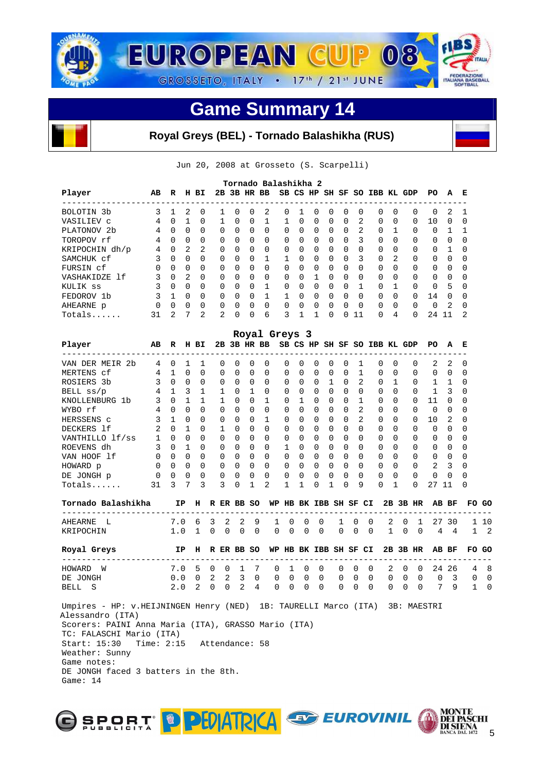

# **Royal Greys (BEL) - Tornado Balashikha (RUS)**

Jun 20, 2008 at Grosseto (S. Scarpelli)

|                         | Tornado Balashikha 2<br>SH SF SO IBB KL GDP |               |          |                |          |              |          |          |          |              |          |          |              |              |          |                |          |          |               |              |
|-------------------------|---------------------------------------------|---------------|----------|----------------|----------|--------------|----------|----------|----------|--------------|----------|----------|--------------|--------------|----------|----------------|----------|----------|---------------|--------------|
| Player                  | AB                                          | R             | н        | вI             | 2B       |              | 3B HR BB |          |          | SB CS HP     |          |          |              |              |          |                |          | PO.      | A             | E            |
| BOLOTIN <sub>3b</sub>   | २                                           |               | 2        | $\Omega$       |          | <sup>n</sup> | 0        | 2        | $\Omega$ |              | $\Omega$ | $\Omega$ | $\Omega$     | <sup>0</sup> | $\Omega$ | <sup>0</sup>   | $\Omega$ | $\Omega$ | 2             |              |
| VASILIEV C              | 4                                           | 0             |          | $\Omega$       |          | $\Omega$     | $\Omega$ |          |          | <sup>0</sup> | $\Omega$ | $\Omega$ | $\Omega$     | 2            | $\Omega$ | $\Omega$       | $\Omega$ | 10       | $\Omega$      | <sup>0</sup> |
| PLATONOV <sub>2</sub> b | 4                                           | $\Omega$      | $\Omega$ | $\Omega$       | $\Omega$ | $\Omega$     | $\Omega$ | $\Omega$ | $\Omega$ | $\Omega$     | $\Omega$ | $\Omega$ | $\Omega$     | 2            | $\Omega$ |                | $\Omega$ | $\Omega$ |               |              |
| TOROPOV rf              | 4                                           | $\Omega$      | $\Omega$ | $\Omega$       | $\Omega$ | 0            | $\Omega$ | $\Omega$ | $\Omega$ | <sup>0</sup> | $\Omega$ | $\Omega$ | $\Omega$     | 3            | $\Omega$ | <sup>0</sup>   | $\Omega$ | 0        | $\Omega$      | <sup>0</sup> |
| KRIPOCHIN dh/p          | 4                                           | 0             | 2        | 2              | $\Omega$ | $\Omega$     | $\Omega$ | $\Omega$ | $\Omega$ | $\Omega$     | $\Omega$ | $\Omega$ | $\Omega$     | <sup>0</sup> | $\Omega$ | <sup>0</sup>   | $\Omega$ | 0        |               | O            |
| SAMCHUK cf              | 3                                           | $\Omega$      | $\Omega$ | $\Omega$       | $\Omega$ | $\Omega$     | $\Omega$ |          |          | <sup>n</sup> | $\Omega$ | $\Omega$ | $\Omega$     | 3            | $\Omega$ | $\mathfrak{D}$ | $\Omega$ | 0        | $\Omega$      | $\Omega$     |
| FURSIN cf               | $\Omega$                                    | $\Omega$      | $\Omega$ | $\Omega$       | $\Omega$ | $\Omega$     | $\Omega$ | $\Omega$ | $\Omega$ | $\Omega$     | $\Omega$ | $\Omega$ | $\Omega$     | $\Omega$     | $\Omega$ | <sup>0</sup>   | $\Omega$ | $\Omega$ | $\Omega$      | O            |
| VASHAKIDZE 1f           | 3                                           | $\Omega$      | 2        | $\Omega$       | $\Omega$ | <sup>n</sup> | $\Omega$ | $\Omega$ | $\Omega$ | <sup>n</sup> |          | $\Omega$ | $\Omega$     | $\cap$       | $\Omega$ | $\Omega$       | $\Omega$ | 0        | $\Omega$      | $\Omega$     |
| KULIK SS                |                                             | $\Omega$      | $\Omega$ | $\Omega$       | $\Omega$ | $\Omega$     | $\Omega$ |          | 0        | $\Omega$     | $\Omega$ | $\Omega$ | $\Omega$     |              | $\Omega$ |                | $\Omega$ | $\Omega$ | 5             | $\Omega$     |
| FEDOROV 1b              | २                                           |               | $\cap$   | $\Omega$       | $\Omega$ | <sup>n</sup> | $\Omega$ |          |          | ∩            | $\Omega$ | $\Omega$ | $\cap$       | <sup>n</sup> | $\Omega$ | $\cap$         | $\Omega$ | 14       | $\cap$        | $\Omega$     |
| AHEARNE p               | $\Omega$                                    | $\Omega$      | $\Omega$ | $\Omega$       | $\Omega$ | $\Omega$     | $\Omega$ | $\Omega$ | $\Omega$ | $\Omega$     | $\Omega$ | $\Omega$ | $\Omega$     | $\Omega$     | $\Omega$ | $\Omega$       | $\Omega$ | $\Omega$ | $\mathcal{L}$ | $\Omega$     |
| $Totals$                | 31                                          | $\mathcal{L}$ | 7        | $\mathfrak{D}$ | 2        | $\Omega$     | $\Omega$ | 6        | 3        |              |          | $\Omega$ | <sup>n</sup> | 11           | $\Omega$ | 4              | $\Omega$ | 24       | 11            | 2            |

|                                                                                                                                                                                                                                         |           |               |             |              |               |                          |            |              | Royal Greys 3 |                                 |              |          |                                             |          |                |   |                                     |                |                                                 |                |          |
|-----------------------------------------------------------------------------------------------------------------------------------------------------------------------------------------------------------------------------------------|-----------|---------------|-------------|--------------|---------------|--------------------------|------------|--------------|---------------|---------------------------------|--------------|----------|---------------------------------------------|----------|----------------|---|-------------------------------------|----------------|-------------------------------------------------|----------------|----------|
| Player                                                                                                                                                                                                                                  | AB R H BI |               |             |              |               |                          |            |              |               |                                 |              |          |                                             |          |                |   |                                     |                | 2B 3B HR BB SB CS HP SH SF SO IBB KL GDP PO A E |                |          |
| VAN DER MEIR 2b 4 0 1                                                                                                                                                                                                                   |           |               |             | 1            |               | $\Omega$<br>$\Omega$     |            | $\Omega$     | $\Omega$      | $\Omega$                        | $\Omega$     | $\Omega$ | $\Omega$                                    | $\Omega$ | 1              |   | $0 \quad 0$                         | $\Omega$       |                                                 | $2\quad 2$     | 0        |
| MERTENS cf $\begin{array}{ccc} 4 & 1 & 0 & 0 \\ \text{ROSIERS} & 3b & 3 & 0 & 0 & 0 \end{array}$                                                                                                                                        |           |               |             |              |               | $\Omega$<br>$\Omega$     |            | $\Omega$     | $\Omega$      | $\Omega$                        | $\Omega$     |          | $0\quad 0$                                  | $\Omega$ | $\overline{1}$ |   | $0 \quad 0$                         | $\Omega$       | $0\quad 0$                                      |                | $\Omega$ |
|                                                                                                                                                                                                                                         |           |               |             |              |               | $0 \quad 0$              |            | $0 \quad 0$  |               |                                 |              |          | 0 0 0 1                                     |          | 2<br>$\Omega$  |   | $0\quad1$                           | $\Omega$       | 1 1                                             |                | 0        |
| BELL ss/p                                                                                                                                                                                                                               | $4$ 1 3 1 |               |             |              |               |                          | 1 0 1 0    |              |               | $\begin{matrix}0&0\end{matrix}$ |              |          | $\begin{matrix} 0 & 0 & 0 & 0 \end{matrix}$ |          |                |   | $0 \Omega$                          | $\Omega$       | $1 \quad 3$                                     |                | 0        |
| KNOLLENBURG 1b                                                                                                                                                                                                                          |           | $3 \t 0 \t 1$ |             | $\mathbf{1}$ |               | $\mathbf{1}$             | $\Omega$   | $0 \quad 1$  |               | $0\quad1$                       |              |          | $0 \t 0 \t 0 \t 1$                          |          |                |   | $\begin{matrix} 0 & 0 \end{matrix}$ | $\Omega$       | 110                                             |                | 0        |
| WYBO rf                                                                                                                                                                                                                                 |           | 4 0 0         |             | $\Omega$     |               | $\Omega$<br>$\Omega$     |            | $\Omega$     | $\Omega$      | $\Omega$                        | $\Omega$     |          | $0 \quad 0 \quad 0$                         |          | 2              |   | $0 \quad 0$                         | $\Omega$       | $0\quad 0$                                      |                | 0        |
| HERSSENS c 3 1 0                                                                                                                                                                                                                        |           |               |             | $\Omega$     |               | $\Omega$<br>$\Omega$     |            | $0\quad1$    |               | $0 \quad 0$                     |              |          | $0 \quad 0 \quad 0$                         |          | 2              |   | $0 \quad 0$                         | $\Omega$       | 10 <sub>2</sub>                                 |                | 0        |
| $2 \t0 \t1$<br>DECKERS 1f                                                                                                                                                                                                               |           |               |             | $\Omega$     |               | $\mathbf{1}$<br>$\Omega$ |            | $\Omega$     | $\Omega$      | $\Omega$                        | $\Omega$     |          | $0 \quad 0$                                 |          | $0 \Omega$     |   | $0 \quad 0$                         | $\Omega$       | $0 \quad 0$                                     |                | $\Omega$ |
|                                                                                                                                                                                                                                         |           |               |             |              |               |                          |            |              |               |                                 |              |          |                                             |          |                |   |                                     | $\Omega$       |                                                 | $0 \quad 0$    | $\Omega$ |
|                                                                                                                                                                                                                                         |           |               |             |              |               |                          |            |              |               |                                 |              |          |                                             |          |                |   |                                     | $\Omega$       |                                                 | $0 \quad 0$    | $\Omega$ |
|                                                                                                                                                                                                                                         |           |               |             |              |               |                          |            |              |               |                                 |              |          |                                             |          |                |   |                                     | $\Omega$       | $0\quad 0$                                      |                | $\Omega$ |
|                                                                                                                                                                                                                                         |           |               |             |              |               |                          |            |              |               |                                 |              |          |                                             |          |                |   |                                     | $\overline{0}$ |                                                 | 2 <sup>3</sup> | $\Omega$ |
| DECKERS IT<br>VANTHILLO If/ss 1 0 0 0 0 0 0 0 0 0 0 0 0 0 0 0<br>ROEVENS dh 3 0 1 0 0 0 0 0 0 0 0 0 0 0 0 0<br>VAN HOOF If 0 0 0 0 0 0 0 0 0 0 0 0 0 0 0 0<br>VAN HOOF If 0 0 0 0 0 0 0 0 0 0 0 0 0 0 0 0<br>HOWARD p 0 0 0 0 0 0 0 0 0 |           |               |             |              |               |                          |            |              |               |                                 |              |          |                                             |          |                |   |                                     | $\Omega$       | $0 \quad 0$                                     |                | $\Omega$ |
| $Totals$ . 31                                                                                                                                                                                                                           |           |               | $3 \quad 7$ | 3            |               | $3 \quad 0$              |            | $\mathbf{1}$ | 2             | $\mathbf{1}$                    | $\mathbf{1}$ | $\Omega$ | $\mathbf{1}$                                | $\Omega$ |                | 9 | $\Omega$<br>$\overline{1}$          | $\Omega$       | 27 11                                           |                | $\Omega$ |
| Tornado Balashikha     IP  H  R ER BB SO  WP HB BK IBB SH SF CI  2B 3B HR  AB BF                                                                                                                                                        |           |               |             |              |               |                          |            |              |               |                                 |              |          |                                             |          |                |   |                                     |                |                                                 |                | FO GO    |
| AHEARNE L                                                                                                                                                                                                                               |           |               |             |              | 7.0 6 3 2     |                          | $2\quad 9$ |              | $\mathbf 1$   | $\overline{0}$                  |              |          |                                             |          |                |   |                                     |                | 0 0 1 0 0 2 0 1 27 30                           |                | 1 10     |
| KRIPOCHIN                                                                                                                                                                                                                               |           |               |             |              | 1.0 1 0 0 0 0 |                          |            |              |               |                                 |              |          |                                             |          |                |   |                                     |                | 0 0 0 0 0 0 0 1 0 0 4 4 1 2                     |                |          |
| Royal Greys TP H R ER BB SO WP HB BK IBB SH SF CI                                                                                                                                                                                       |           |               |             |              |               |                          |            |              |               |                                 |              |          |                                             |          |                |   |                                     |                | 2B 3B HR AB BF                                  |                | FO GO    |
| -------------------------<br>HOWARD W                                                                                                                                                                                                   |           |               |             |              |               |                          |            |              |               |                                 |              |          |                                             |          |                |   |                                     |                | 7.0 5 0 0 1 7 0 1 0 0 0 0 0 2 0 0 24 26 4 8     |                |          |
| DE JONGH                                                                                                                                                                                                                                |           |               |             |              |               |                          |            |              |               |                                 |              |          |                                             |          |                |   |                                     |                | 0.0 0 2 2 3 0 0 0 0 0 0 0 0 0 0 0 0 3 0 0       |                |          |
| BELL S                                                                                                                                                                                                                                  |           |               |             |              |               |                          |            |              |               |                                 |              |          |                                             |          |                |   |                                     |                | 2.0 2 0 0 2 4 0 0 0 0 0 0 0 0 0 0 0 7 9 1       |                |          |
| Umpires - HP: v.HEIJNINGEN Henry (NED) 1B: TAURELLI Marco (ITA) 3B: MAESTRI                                                                                                                                                             |           |               |             |              |               |                          |            |              |               |                                 |              |          |                                             |          |                |   |                                     |                |                                                 |                |          |
| Alessandro (ITA)                                                                                                                                                                                                                        |           |               |             |              |               |                          |            |              |               |                                 |              |          |                                             |          |                |   |                                     |                |                                                 |                |          |
| Scorers: PAINI Anna Maria (ITA), GRASSO Mario (ITA)                                                                                                                                                                                     |           |               |             |              |               |                          |            |              |               |                                 |              |          |                                             |          |                |   |                                     |                |                                                 |                |          |
| TC: FALASCHI Mario (ITA)                                                                                                                                                                                                                |           |               |             |              |               |                          |            |              |               |                                 |              |          |                                             |          |                |   |                                     |                |                                                 |                |          |
| Start: 15:30 Time: 2:15 Attendance: 58                                                                                                                                                                                                  |           |               |             |              |               |                          |            |              |               |                                 |              |          |                                             |          |                |   |                                     |                |                                                 |                |          |
| Weather: Sunny                                                                                                                                                                                                                          |           |               |             |              |               |                          |            |              |               |                                 |              |          |                                             |          |                |   |                                     |                |                                                 |                |          |
| Game notes:                                                                                                                                                                                                                             |           |               |             |              |               |                          |            |              |               |                                 |              |          |                                             |          |                |   |                                     |                |                                                 |                |          |
| DE JONGH faced 3 batters in the 8th.                                                                                                                                                                                                    |           |               |             |              |               |                          |            |              |               |                                 |              |          |                                             |          |                |   |                                     |                |                                                 |                |          |

5

**MONTE<br>DEI PASCE<br>DI SIENA<br>BANCA DAL 1472** 

O SPORT D PEDATRICA EUROVINIL

Game: 14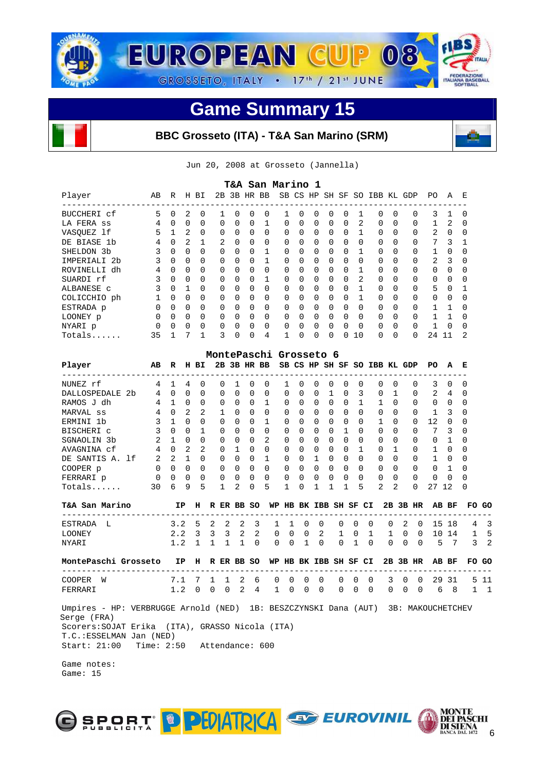

# **BBC Grosseto (ITA) - T&A San Marino (SRM)**



| T&A San Marino 1<br>HR BB<br>SB CS<br>H BI<br>SO IBB KL |          |              |               |              |                |          |          |          |                        |          |             |          |                |              |               |              |          |                |              |   |
|---------------------------------------------------------|----------|--------------|---------------|--------------|----------------|----------|----------|----------|------------------------|----------|-------------|----------|----------------|--------------|---------------|--------------|----------|----------------|--------------|---|
| Player                                                  | AB       | R            |               |              | 2B             | 3B       |          |          |                        |          | HP          |          | SH SF          |              |               |              | GDP      | PO.            | $\mathsf{A}$ | Е |
| BUCCHERI cf                                             | 5        | $\Omega$     | 2             | $\Omega$     | 1              | $\Omega$ | $\Omega$ | $\Omega$ | $\mathbf{1}$           | $\Omega$ | $\Omega$    | $\Omega$ | 0              |              | $\Omega$      | $\Omega$     | $\Omega$ | 3              | 1            | O |
| LA FERA SS                                              | 4        | $\Omega$     | $\Omega$      | 0            | $\Omega$       | $\Omega$ | $\Omega$ | 1        | $\Omega$               | $\Omega$ | $\Omega$    | $\Omega$ | $\Omega$       | 2            | $\Omega$      | $\Omega$     | $\Omega$ | 1              | 2            | 0 |
| VASQUEZ 1f                                              | 5        | $\mathbf{1}$ | 2             | $\Omega$     | 0              | $\Omega$ | $\Omega$ | 0        | $\Omega$               | $\Omega$ | $\Omega$    | $\Omega$ | $\Omega$       | $\mathbf{1}$ | $\Omega$      | $\Omega$     | $\Omega$ | 2              | $\Omega$     | U |
| DE BIASE 1b                                             | 4        | $\Omega$     | $\mathcal{L}$ | 1            | $\overline{2}$ | $\Omega$ | $\Omega$ | $\Omega$ | $\Omega$               | $\Omega$ | $\Omega$    | $\Omega$ | $\Omega$       | 0            | $\Omega$      | <sup>0</sup> | 0        | 7              | 3            |   |
| SHELDON 3b                                              | 3        | $\Omega$     | $\Omega$      | 0            | $\Omega$       | $\Omega$ | $\Omega$ | 1        | $\Omega$               | 0        | $\Omega$    | $\Omega$ | $\Omega$       | 1            | 0             | $\Omega$     | $\Omega$ | $\mathbf{1}$   | $\Omega$     | U |
| IMPERIALI 2b                                            | 3        | $\Omega$     | $\Omega$      | 0            | $\Omega$       | $\Omega$ | $\Omega$ | 1        | $\Omega$               | $\Omega$ | $\Omega$    | $\Omega$ | 0              | 0            | $\Omega$      | <sup>0</sup> | 0        | $\overline{2}$ | 3            | U |
| ROVINELLI dh                                            | 4        | $\Omega$     | 0             | 0            | 0              | $\Omega$ | $\Omega$ | 0        | 0                      | 0        | $\Omega$    | $\Omega$ | 0              | 1            | 0             | <sup>0</sup> | $\Omega$ | $\Omega$       | 0            | U |
| SUARDI rf                                               | 3        | $\Omega$     | 0             | 0            | 0              | $\Omega$ | $\Omega$ | 1        | 0                      | $\Omega$ | $\Omega$    | $\Omega$ | $\Omega$       | 2            | $\Omega$      | <sup>0</sup> | 0        | 0              | $\Omega$     |   |
| ALBANESE C                                              | 3        | $\Omega$     |               | 0            | 0              | $\Omega$ | $\Omega$ | 0        | $\Omega$               | 0        | $\Omega$    | $\Omega$ | $\Omega$       |              | 0             | $\Omega$     | 0        | 5              | $\Omega$     |   |
| COLICCHIO ph                                            |          | $\Omega$     | $\Omega$      | 0            | 0              | $\Omega$ | $\Omega$ | 0        | $\Omega$               | $\Omega$ | $\Omega$    | $\Omega$ | $\Omega$       |              | 0             | <sup>0</sup> | 0        | 0              | $\Omega$     |   |
| ESTRADA p                                               | $\Omega$ | $\Omega$     | $\Omega$      | 0            | $\Omega$       | $\Omega$ | $\Omega$ | 0        | $\Omega$               | $\Omega$ | $\Omega$    | $\Omega$ | $\Omega$       | $\Omega$     | 0             | <sup>0</sup> | 0        | $\mathbf{1}$   |              |   |
| LOONEY p                                                | 0        | $\Omega$     | 0             | 0            | 0              | $\Omega$ | $\Omega$ | 0        | $\Omega$               | $\Omega$ | $\Omega$    | $\Omega$ | 0              | $\Omega$     | 0             | $\Omega$     | 0        | $\mathbf{1}$   | 1            | U |
| NYARI p                                                 | 0        | $\Omega$     | 0             | 0            | 0              | 0        | 0        | 0        | $\Omega$               | 0        | $\mathbf 0$ | 0        | 0              | $\Omega$     | 0             | <sup>0</sup> | 0        | 1              | $\Omega$     |   |
| Totals                                                  | 35       | 1            | 7             | 1            | ζ              | $\Omega$ | $\Omega$ | 4        | 1                      | O        | $\Omega$    | $\Omega$ | 0              | 10           | $\Omega$      | $\Omega$     | $\Omega$ | 24             | 11           | 2 |
|                                                         |          |              |               |              |                |          |          |          | MontePaschi Grosseto 6 |          |             |          |                |              |               |              |          |                |              |   |
| Player                                                  | AB       | R            |               | H BI         | 2B             |          |          | 3B HR BB |                        |          |             |          | SB CS HP SH SF |              | SO IBB KL GDP |              |          | PO.            | A            | Е |
| NUNEZ rf                                                | 4        | 1            | 4             | <sup>0</sup> | 0              |          | $\Omega$ | $\Omega$ | 1                      | O        | $\Omega$    | 0        | 0              | <sup>0</sup> | 0             | 0            | $\Omega$ | 3              | 0            | O |
| <b>DALLOSPEDALE</b><br>2 <sub>b</sub>                   | 4        | $\Omega$     | $\mathbf 0$   | 0            | 0              | $\Omega$ | $\Omega$ | 0        | $\Omega$               | 0        | $\Omega$    | 1        | $\Omega$       | 3            | 0             | 1            | 0        | 2              | 4            | 0 |
| RAMOS J dh                                              | 4        |              | 0             | $\Omega$     | 0              | $\Omega$ | 0        | 1        | $\Omega$               | 0        | $\Omega$    | 0        | 0              |              |               | U            | $\Omega$ | 0              | 0            |   |

| RAMOS J<br>αn      | $4^{\circ}$ |          |    |          |          |          | U        |          | U        | U        | U        | U        | U        |          |   | U        |          | U  |          | U                        |  |
|--------------------|-------------|----------|----|----------|----------|----------|----------|----------|----------|----------|----------|----------|----------|----------|---|----------|----------|----|----------|--------------------------|--|
| MARVAL ss          | 4           | $\Omega$ | 2  |          |          | $\Omega$ | $\Omega$ | 0        | $\Omega$ | 0        | 0        | 0        | 0        | 0        | 0 | 0        |          |    | 3        | - 0                      |  |
| ERMINI 1b          | 3           |          |    | $\Omega$ | 0        | $\Omega$ | 0        |          | 0        | 0        | $\Omega$ | $\Omega$ | $\Omega$ | 0        |   | 0        |          | 12 | $\Omega$ | - 0                      |  |
| BISCHERI C         | 3.          |          |    |          |          | $\Omega$ | $\Omega$ | $\Omega$ | $\Omega$ | $\Omega$ | $\Omega$ | $\Omega$ |          | $\Omega$ | 0 | $\Omega$ |          |    | 3        | - 0                      |  |
| SGNAOLIN 3b        |             |          |    | -0       | 0        | $\Omega$ | $\Omega$ | 2        | $\Omega$ | $\Omega$ | $\Omega$ | $\Omega$ | $\Omega$ | $\Omega$ | 0 | $\Omega$ | $\Omega$ | 0  |          | - 0                      |  |
| AVAGNINA cf        | 4           | $\Omega$ | -2 | 2        | $\Omega$ |          | 0        | $\Omega$ | $\Omega$ | 0        | 0        | 0        | 0        |          | 0 |          | $\Omega$ |    | $\Omega$ | - 0                      |  |
| DE SANTIS A.<br>lf | 2           |          |    | $\Omega$ | $\Omega$ | $\Omega$ | 0        |          | 0        | $\Omega$ |          |          | 0        | 0        | 0 | $\Omega$ | $\Omega$ |    | $\Omega$ | $\overline{\phantom{0}}$ |  |
| COOPER p           | 0           | $\Omega$ |    | $\Omega$ | $\Omega$ | $\Omega$ | 0        | $\Omega$ | $\Omega$ | 0        | $\Omega$ | $\Omega$ | 0        | $\Omega$ | 0 | $\Omega$ | $\Omega$ | 0  |          | - 0                      |  |
| FERRARI p          | 0           | $\Omega$ |    | $\Omega$ |          |          | 0        | $\Omega$ | 0        | 0        | $\Omega$ |          |          | $\Omega$ |   | $\Omega$ |          | 0  |          | - 0                      |  |
| Totals             | 30          | 6        | 9  | 5        |          |          |          | 5        |          |          |          |          |          | 5        |   | 2        |          |    | 12       | - 0                      |  |

| T&A San Marino               |                                                                                                                                           |  |  |  |  | IP H R ER BB SO WP HB BK IBB SH SF CI 2B 3B HR AB BF FO GO |  |  |  |  |  |
|------------------------------|-------------------------------------------------------------------------------------------------------------------------------------------|--|--|--|--|------------------------------------------------------------|--|--|--|--|--|
| ESTRADA L<br>LOONEY<br>NYART | 3.2 5 2 2 2 3 1 1 0 0 0 0 0 0 2 0 15 18 4 3<br>2.2 3 3 3 2 2 0 0 0 2 1 0 1 1 0 0 10 14 1 5<br>1.2 1 1 1 1 0 0 0 1 0 0 1 0 0 0 0 0 5 7 3 2 |  |  |  |  |                                                            |  |  |  |  |  |

## **MontePaschi Grosseto IP H R ER BB SO WP HB BK IBB SH SF CI 2B 3B HR AB BF FO GO**

 --------------------------------------------------------------------------------------- COOPER W 7.1 7 1 1 2 6 0 0 0 0 0 0 0 3 0 0 29 31 5 11<br>FERRARI 1.2 0 0 0 2 4 1 0 0 0 0 0 0 0 0 0 6 8 1 1 FERRARI 1.2 0 0 0 2 4 1 0 0 0 0 0 0 0 0 0 0 6 8 Umpires - HP: VERBRUGGE Arnold (NED) 1B: BESZCZYNSKI Dana (AUT) 3B: MAKOUCHETCHEV Serge (FRA) Scorers:SOJAT Erika (ITA), GRASSO Nicola (ITA)

 T.C.:ESSELMAN Jan (NED) Start: 21:00 Time: 2:50 Attendance: 600

 Game notes: Game: 15

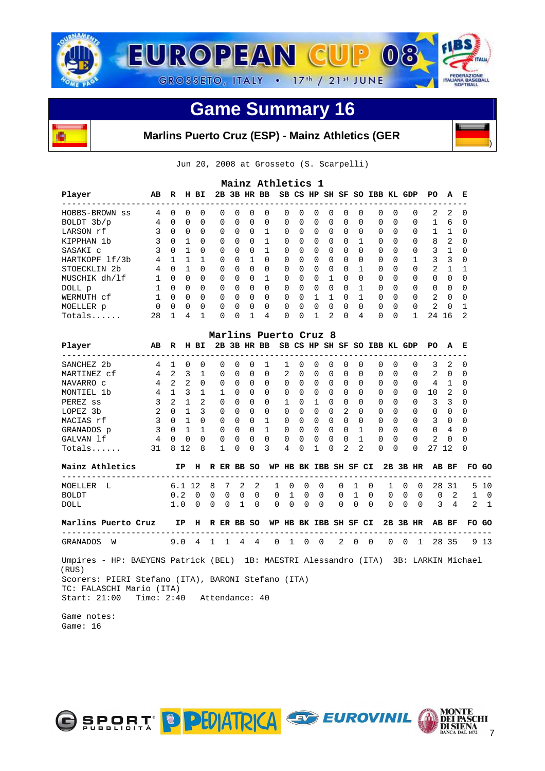



# **Marlins Puerto Cruz (ESP) - Mainz Athletics (GER**



|                         |          |          |          |          |          |          |          | Mainz Athletics 1 |          |              |          |                |          |          |                              |              |          |               |          |                |
|-------------------------|----------|----------|----------|----------|----------|----------|----------|-------------------|----------|--------------|----------|----------------|----------|----------|------------------------------|--------------|----------|---------------|----------|----------------|
| Player                  | AB       | R        | н        | ВI       |          |          |          | 2B 3B HR BB       |          |              |          |                |          |          | SB CS HP SH SF SO IBB KL GDP |              |          | PO.           | A        | Е              |
| HOBBS-BROWN<br>SS       | 4        | $\Omega$ | 0        | 0        | $\Omega$ | $\Omega$ | $\Omega$ | 0                 | $\Omega$ | $\Omega$     | $\Omega$ | $\Omega$       | $\Omega$ | $\Omega$ | $\Omega$                     | $\Omega$     | $\Omega$ | 2             | 2        | - 0            |
| BOLDT 3b/p              | 4        | $\Omega$ | $\Omega$ | $\Omega$ | $\Omega$ | $\Omega$ | $\Omega$ | $\Omega$          | $\Omega$ | $\Omega$     | $\Omega$ | $\Omega$       | $\Omega$ | $\Omega$ | $\Omega$                     | $\Omega$     | $\Omega$ |               | 6        | $\Omega$       |
| LARSON rf               | 3        | $\Omega$ | $\Omega$ | $\Omega$ | $\Omega$ | $\Omega$ | $\Omega$ |                   | $\Omega$ | $\Omega$     | $\Omega$ | $\Omega$       | $\Omega$ | $\Omega$ | $\Omega$                     | $\Omega$     | $\Omega$ |               |          | $\Omega$       |
| KIPPHAN 1b              | 3        | $\Omega$ |          | $\Omega$ | $\Omega$ | $\cap$   | $\Omega$ | 1                 | $\Omega$ | $\Omega$     | $\Omega$ | $\Omega$       | $\Omega$ |          | $\Omega$                     | $\Omega$     | $\Omega$ | 8             | 2        | $\Omega$       |
| SASAKI C                | 3        | $\Omega$ |          | $\Omega$ | $\Omega$ | $\Omega$ | $\Omega$ |                   | $\Omega$ | $\Omega$     | $\Omega$ | $\Omega$       | $\Omega$ | $\Omega$ | $\Omega$                     | $\Omega$     | $\Omega$ | 3             |          | $\Omega$       |
| HARTKOPF 1f/3b          | 4        |          |          |          | $\Omega$ | $\cap$   |          | $\Omega$          | $\Omega$ | $\Omega$     | $\Omega$ | $\Omega$       | $\Omega$ | $\Omega$ | $\Omega$                     | $\Omega$     |          | 3             | 3        | $\Omega$       |
| STOECKLIN <sub>2b</sub> | 4        | $\Omega$ |          | $\Omega$ | $\Omega$ | $\Omega$ | $\Omega$ | $\Omega$          | $\Omega$ | $\Omega$     | $\Omega$ | $\Omega$       | $\Omega$ |          | $\Omega$                     | <sup>0</sup> | $\Omega$ | 2             |          |                |
| MUSCHIK dh/lf           |          | $\Omega$ | $\Omega$ | $\Omega$ | $\Omega$ | $\cap$   | $\Omega$ |                   | $\Omega$ | <sup>0</sup> | $\Omega$ |                | $\Omega$ | $\Omega$ | $\Omega$                     | <sup>0</sup> | $\Omega$ | 0             | $\cap$   | <sup>0</sup>   |
| DOLL p                  |          | $\Omega$ | $\Omega$ | $\Omega$ | $\Omega$ | $\Omega$ | $\Omega$ | $\Omega$          | $\Omega$ | $\Omega$     | $\Omega$ | $\Omega$       | $\Omega$ |          | $\Omega$                     | <sup>0</sup> | $\Omega$ | $\Omega$      | $\Omega$ | <sup>0</sup>   |
| WERMUTH cf              |          | $\cap$   | $\cap$   | $\Omega$ | $\Omega$ | $\cap$   | $\Omega$ | $\Omega$          | $\Omega$ | <sup>n</sup> |          |                | $\Omega$ |          | $\Omega$                     | $\Omega$     | $\Omega$ | $\mathcal{L}$ | $\cap$   | $\Omega$       |
| MOELLER p               | $\Omega$ | $\Omega$ | $\Omega$ | $\Omega$ | $\Omega$ | $\Omega$ | $\Omega$ | $\Omega$          | $\Omega$ | $\Omega$     | $\Omega$ | $\Omega$       | $\Omega$ | $\Omega$ | $\Omega$                     | $\Omega$     | $\Omega$ | 2             | $\Omega$ |                |
| $Totals$                | 28       |          | 4        |          | 0        | U        | 1        | 4                 | 0        | <sup>n</sup> |          | $\mathfrak{D}$ | $\Omega$ | 4        | $\Omega$                     | <sup>0</sup> |          | 24            | 16       | $\mathfrak{D}$ |

|             |         |               |          |              | Marlins Puerto Cruz 8 |              |              |           |               |          |              |              |               |          |               |          |              |                |              |          |
|-------------|---------|---------------|----------|--------------|-----------------------|--------------|--------------|-----------|---------------|----------|--------------|--------------|---------------|----------|---------------|----------|--------------|----------------|--------------|----------|
| Player      | AB      | R             | н        | вI           | 2в.                   |              | 3B HR        | <b>BB</b> |               | SB CS HP |              | SH SF        |               |          | SO IBB KL GDP |          |              | PO.            | A            | Е        |
| SANCHEZ 2b  | 4       |               | 0        | $\Omega$     | 0                     | <sup>0</sup> | 0            |           |               | $\Omega$ | 0            | $\Omega$     | $\Omega$      | $\Omega$ | 0             | $\Omega$ | $\Omega$     | 3              | 2            | $\Omega$ |
| MARTINEZ cf | 4       | $\mathcal{L}$ | 3        |              | 0                     | $\Omega$     | 0            | $\Omega$  | $\mathcal{L}$ | $\Omega$ | $\Omega$     | $\Omega$     | $\Omega$      | $\Omega$ | 0             | $\Omega$ | $\Omega$     | $\mathfrak{D}$ | $\Omega$     | $\Omega$ |
| NAVARRO C   | 4       | 2             | 2        | $\Omega$     | 0                     | $\Omega$     | 0            | $\Omega$  | $\Omega$      | $\Omega$ | $\Omega$     | $\Omega$     | $\Omega$      | $\Omega$ | 0             | $\Omega$ | $\Omega$     | 4              |              | $\Omega$ |
| MONTIEL 1b  | 4       |               | 3        |              |                       | $\Omega$     | 0            | $\Omega$  | 0             | $\Omega$ | 0            | $\Omega$     | $\Omega$      | $\Omega$ | 0             | $\Omega$ | $\Omega$     | 10             | 2            | $\Omega$ |
| PEREZ SS    | ₹       | $\mathcal{D}$ |          | 2            | 0                     | $\Omega$     | 0            | $\Omega$  |               | $\Omega$ |              | $\Omega$     | $\Omega$      | $\Omega$ | <sup>n</sup>  | $\Omega$ | $\Omega$     | 3              | 3            | $\Omega$ |
| LOPEZ 3b    | $2^{1}$ | $\cap$        |          | 3            | 0                     | $\Omega$     | <sup>n</sup> | $\Omega$  | $\Omega$      | $\Omega$ | 0            | $\Omega$     | 2             | $\Omega$ | <sup>n</sup>  | $\Omega$ | $\Omega$     | $\Omega$       | $\Omega$     | $\Omega$ |
| MACIAS rf   | 3       | <sup>0</sup>  |          | $\Omega$     | 0                     | $\Omega$     | $\Omega$     |           | $\Omega$      | $\Omega$ | <sup>n</sup> | $\Omega$     | $\Omega$      | $\Omega$ | 0             | $\Omega$ | $\Omega$     | 3              | <sup>0</sup> | $\Omega$ |
| GRANADOS p  | 3       | <sup>n</sup>  |          |              | $\cap$                | $\Omega$     | <sup>n</sup> |           | 0             | $\Omega$ | U            | $\Omega$     | <sup>n</sup>  |          | <sup>n</sup>  | $\Omega$ | $\Omega$     | $\Omega$       | 4            | $\Omega$ |
| GALVAN 1f   | 4       | <sup>n</sup>  | $\Omega$ | <sup>n</sup> | $\cap$                | $\Omega$     | <sup>n</sup> | $\Omega$  | <sup>n</sup>  | $\Omega$ | U            | <sup>n</sup> | <sup>n</sup>  |          | <sup>n</sup>  | $\Omega$ | $\Omega$     | $\mathfrak{D}$ | ∩            | $\Omega$ |
| $Totals$    | 31      | R             | 12       | 8            |                       | $\Omega$     | <sup>n</sup> | २         | 4             | $\Omega$ |              | U            | $\mathcal{L}$ | 2        | <sup>n</sup>  | $\Omega$ | <sup>0</sup> | 27             | 12           | $\Omega$ |

| Mainz Athletics    |                                                                                              |  |  |  |  | IP H R ER BB SO WP HB BK IBB SH SF CI 2B 3B HR AB BF FO GO |  |  |  |  |  |
|--------------------|----------------------------------------------------------------------------------------------|--|--|--|--|------------------------------------------------------------|--|--|--|--|--|
| MOELLER L<br>BOLDT | 6.1 12 8 7 2 2 1 0 0 0 0 1 0 1 0 0 28 31 5 10<br>0.2 0 0 0 0 0 0 1 0 0 0 1 0 0 0 0 0 0 2 1 0 |  |  |  |  |                                                            |  |  |  |  |  |
| DOLL               | 1.0 0 0 0 1 0 0 0 0 0 0 0 0 0 0 0 0 3 4 2 1                                                  |  |  |  |  |                                                            |  |  |  |  |  |

 **Marlins Puerto Cruz IP H R ER BB SO WP HB BK IBB SH SF CI 2B 3B HR AB BF FO GO**  --------------------------------------------------------------------------------------- GRANADOS W 9.0 4 1 1 4 4 0 1 0 0 2 0 0 0 0 1 28 35 9 13

 Umpires - HP: BAEYENS Patrick (BEL) 1B: MAESTRI Alessandro (ITA) 3B: LARKIN Michael (RUS) Scorers: PIERI Stefano (ITA), BARONI Stefano (ITA) TC: FALASCHI Mario (ITA) Start: 21:00 Time: 2:40 Attendance: 40

 Game notes: Game: 16





)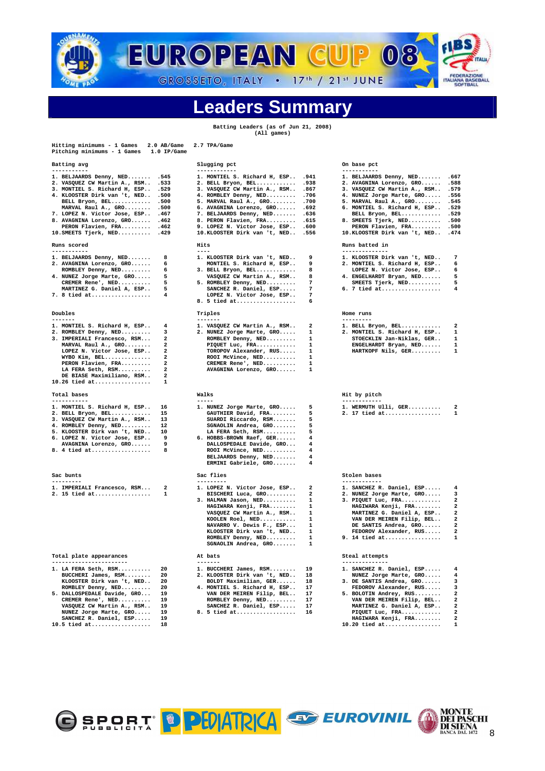

# **Leaders Summary**

**Batting Leaders (as of Jun 21, 2008) (All games)** 

| Hitting minimums - 1 Games<br>Pitching minimums - 1 Games 1.0 IP/Game | 2.0 AB/Game    | 2.7 TPA/Game                               |                              |                                    |                         |
|-----------------------------------------------------------------------|----------------|--------------------------------------------|------------------------------|------------------------------------|-------------------------|
| Batting avg                                                           |                | Slugging pct                               |                              | On base pct                        |                         |
| -----------                                                           |                | ------------                               |                              | -----------                        |                         |
| 1. BELJAARDS Denny, NED                                               | .545           | 1. MONTIEL S. Richard H, ESP               | .941                         | 1. BELJAARDS Denny, NED .667       |                         |
| 2. VASQUEZ CW Martin A., RSM                                          | .533           | 2. BELL Bryon, BEL .938                    |                              | 2. AVAGNINA Lorenzo, GRO .588      |                         |
| 3. MONTIEL S. Richard H, ESP . 529                                    |                | 3. VASQUEZ CW Martin A., RSM . 867         |                              | 3. VASQUEZ CW Martin A., RSM . 579 |                         |
| 4. KLOOSTER Dirk van 't, NED .500                                     |                | 4. ROMBLEY Denny, NED .706                 |                              | 4. NUNEZ Jorge Marte, GRO .556     |                         |
| BELL Bryon, BEL .500                                                  |                | 5. MARVAL Raul A., GRO . 700               |                              | 5. MARVAL Raul A., GRO . 545       |                         |
| MARVAL Raul A., GRO .500                                              |                | 6. AVAGNINA Lorenzo, GRO . 692             |                              | 6. MONTIEL S. Richard H, ESP . 529 |                         |
| 7. LOPEZ N. Victor Jose, ESP . 467                                    |                | 7. BELJAARDS Denny, NED .636               |                              | BELL Bryon, BEL .529               |                         |
| 8. AVAGNINA Lorenzo, GRO . 462                                        |                | 8. PERON Flavien, FRA .615                 |                              | 8. SMEETS Tjerk, NED .500          |                         |
| PERON Flavien, FRA . 462                                              |                | 9. LOPEZ N. Victor Jose, ESP . 600         |                              | PERON Flavien, FRA .500            |                         |
| 10. SMEETS Tjerk, NED . 429                                           |                | 10.KLOOSTER Dirk van 't, NED .556          |                              | 10.KLOOSTER Dirk van 't, NED . 474 |                         |
| Runs scored<br>-----------                                            |                | Hits<br>$- - - -$                          |                              | Runs batted in<br>--------------   |                         |
|                                                                       |                |                                            | 9                            |                                    |                         |
| 1. BELJAARDS Denny, NED                                               | 8              | 1. KLOOSTER Dirk van 't, NED               |                              | 1. KLOOSTER Dirk van 't, NED       | 7                       |
| 2. AVAGNINA Lorenzo, GRO                                              | 6              | MONTIEL S. Richard H, ESP                  | 9                            | 2. MONTIEL S. Richard H, ESP       | 6                       |
| ROMBLEY Denny, NED                                                    | 6              | 3. BELL Bryon, BEL                         | 8                            | LOPEZ N. Victor Jose, ESP          | 6                       |
| 4. NUNEZ Jorge Marte, GRO                                             | 5              | VASQUEZ CW Martin A., RSM                  | 8                            | 4. ENGELHARDT Bryan, NED           | 5                       |
| CREMER Rene', NED                                                     | 5              | 5. ROMBLEY Denny, NED                      | 7                            | SMEETS Tjerk, NED                  | 5                       |
| MARTINEZ G. Daniel A, ESP                                             | 5              | SANCHEZ R. Daniel, ESP                     | $\overline{7}$               | 6. 7 tied at                       | 4                       |
| 7. 8 tied at                                                          | 4              | LOPEZ N. Victor Jose, ESP                  | 7                            |                                    |                         |
|                                                                       |                | 8. 5 tied at                               | 6                            |                                    |                         |
| Doubles<br>-------                                                    |                | Triples<br>-------                         |                              | Home runs<br>---------             |                         |
| 1. MONTIEL S. Richard H, ESP                                          | 4              | 1. VASQUEZ CW Martin A., RSM               | 2                            | 1. BELL Bryon, BEL                 | 2                       |
| 2. ROMBLEY Denny, NED                                                 | 3              | 2. NUNEZ Jorge Marte, GRO                  | 1                            | 2. MONTIEL S. Richard H, ESP       | $\mathbf{1}$            |
| 3. IMPERIALI Francesco, RSM                                           | $\overline{a}$ | ROMBLEY Denny, NED                         | $\mathbf{1}$                 | STOECKLIN Jan-Niklas, GER          | $\mathbf{1}$            |
| MARVAL Raul A., GRO                                                   | $\mathbf{2}$   | PIQUET Luc, FRA                            | 1                            | ENGELHARDT Bryan, NED              | 1                       |
| LOPEZ N. Victor Jose, ESP                                             | $\mathbf{2}$   | TOROPOV Alexander, RUS                     | 1                            | HARTKOPF Nils, GER                 | 1                       |
| WYBO Kim, BEL                                                         | 2              | ROOI McVince, NED                          | 1                            |                                    |                         |
|                                                                       | $\overline{a}$ |                                            | $\mathbf{1}$                 |                                    |                         |
| PERON Flavien, FRA                                                    | $\overline{a}$ | CREMER Rene', NED                          | $\mathbf{1}$                 |                                    |                         |
| LA FERA Seth, RSM                                                     | $\overline{a}$ | AVAGNINA Lorenzo, GRO                      |                              |                                    |                         |
| DE BIASE Maximiliano, RSM<br>10.26 tied at                            | 1              |                                            |                              |                                    |                         |
| Total bases                                                           |                | Walks                                      |                              | Hit by pitch                       |                         |
| -----------                                                           |                | $- - - - -$                                |                              | ------------                       |                         |
| 1. MONTIEL S. Richard H, ESP                                          | 16             | 1. NUNEZ Jorge Marte, GRO                  | 5                            | 1. WERMUTH Ulli, GER               | $\overline{\mathbf{2}}$ |
| 2. BELL Bryon, BEL                                                    | 15             | GAUTHIER David, FRA                        | 5                            | 2. 17 tied at                      | 1                       |
| 3. VASQUEZ CW Martin A., RSM                                          | 13             | SUARDI Riccardo, RSM                       | 5                            |                                    |                         |
| 4. ROMBLEY Denny, NED                                                 | 12             | SGNAOLIN Andrea, GRO                       | 5                            |                                    |                         |
| 5. KLOOSTER Dirk van 't, NED                                          | 10             | LA FERA Seth, RSM                          | 5                            |                                    |                         |
| 6. LOPEZ N. Victor Jose, ESP                                          | 9              | 6. HOBBS-BROWN Raef, GER                   | 4                            |                                    |                         |
| AVAGNINA Lorenzo, GRO                                                 | 9              | DALLOSPEDALE Davide, GRO                   | 4                            |                                    |                         |
| 8. 4 tied at                                                          | 8              | ROOI McVince, NED                          | $\overline{\mathbf{4}}$      |                                    |                         |
|                                                                       |                | BELJAARDS Denny, NED                       | 4                            |                                    |                         |
|                                                                       |                | ERMINI Gabriele, GRO                       | 4                            |                                    |                         |
| Sac bunts<br>---------                                                |                | Sac flies<br>---------                     |                              | Stolen bases<br>------------       |                         |
| 1. IMPERIALI Francesco, RSM                                           | $\overline{a}$ | 1. LOPEZ N. Victor Jose, ESP               | $\overline{a}$               | 1. SANCHEZ R. Daniel, ESP          | 4                       |
|                                                                       | $\mathbf{1}$   |                                            | $\overline{2}$               |                                    |                         |
| 2. 15 tied at                                                         |                | BISCHERI Luca, GRO                         | $\mathbf{1}$                 | 2. NUNEZ Jorge Marte, GRO          | 3                       |
|                                                                       |                | 3. HALMAN Jason, NED                       |                              | 3. PIQUET Luc, FRA                 | $\overline{a}$          |
|                                                                       |                | HAGIWARA Kenji, FRA                        | $\mathbf{1}$                 | HAGIWARA Kenji, FRA                | $\overline{a}$          |
|                                                                       |                | VASQUEZ CW Martin A., RSM                  | $\mathbf{1}$                 | MARTINEZ G. Daniel A, ESP          | $\overline{a}$          |
|                                                                       |                | KOOLEN Roel, NED                           | $\mathbf{1}$                 | VAN DER MEIREN Filip, BEL          | $\overline{\mathbf{2}}$ |
|                                                                       |                | NAVARRO V. Dewis F., ESP                   | $\mathbf{1}$                 | DE SANTIS Andrea, GRO              | $\overline{\mathbf{2}}$ |
|                                                                       |                | KLOOSTER Dirk van 't, NED                  | $\mathbf{1}$                 | FEDOROV Alexander, RUS             | $\overline{\mathbf{2}}$ |
|                                                                       |                | ROMBLEY Denny, NED<br>SGNAOLIN Andrea, GRO | $\mathbf{1}$<br>$\mathbf{1}$ | 9. 14 tied at                      | 1                       |
| Total plate appearances                                               |                | At bats                                    |                              | Steal attempts                     |                         |
| -----------------------                                               |                | -------                                    |                              | --------------                     |                         |
| 1. LA FERA Seth, RSM                                                  | 20             | 1. BUCCHERI James, RSM                     | 19                           | 1. SANCHEZ R. Daniel, ESP          | 4                       |
| BUCCHERI James, RSM                                                   | 20             | 2. KLOOSTER Dirk van 't, NED               | 18                           | NUNEZ Jorge Marte, GRO             | 4                       |
| KLOOSTER Dirk van 't, NED                                             | 20             | BOLDT Maximilian, GER                      | 18                           | 3. DE SANTIS Andrea, GRO           | 3                       |
| ROMBLEY Denny, NED                                                    | 20             | 4. MONTIEL S. Richard H, ESP               | 17                           | FEDOROV Alexander, RUS             | 3                       |
| 5. DALLOSPEDALE Davide, GRO                                           | 19             | VAN DER MEIREN Filip, BEL                  | 17                           | 5. BOLOTIN Andrey, RUS             | $\mathbf{2}$            |
| CREMER Rene', NED                                                     | 19             | ROMBLEY Denny, NED                         | 17                           | VAN DER MEIREN Filip, BEL          | $\overline{a}$          |

- **VASQUEZ CW Martin A., RSM.. 19 SANCHEZ R. Daniel, ESP..... 17 MARTINEZ G. Daniel A, ESP.. 2 NUNEZ Jorge Marte, GRO..... 19 8. 5 tied at.................. 16 PIQUET Luc, FRA............ 2**
- 
- 
- **SANCHEZ R. Daniel, ESP..... 19 HAGIWARA Kenji, FRA........ 2 10.5 tied at.................. 18 10.20 tied at................. 1**
- OSPORT PPEDATRICA SO EUROVINIL

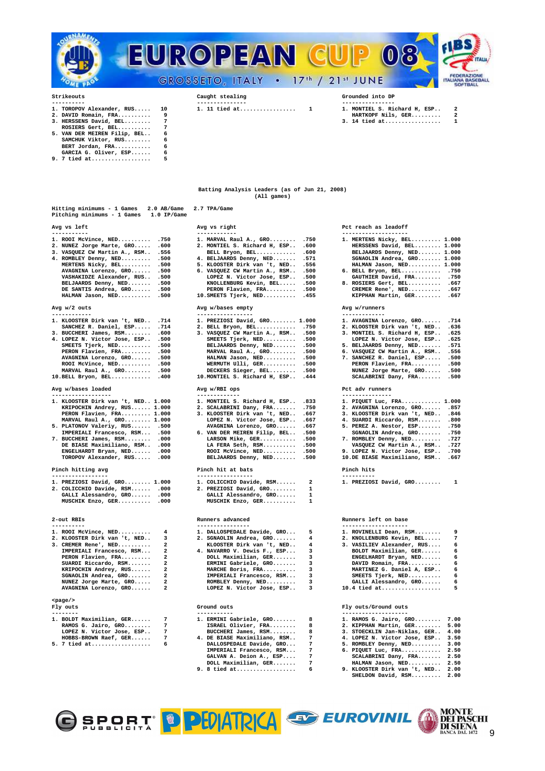



- 
- 
- **ROSIERS Gert, BEL.......... 7 5. VAN DER MEIREN Filip, BEL.. 6**
- **SAMCHUK Viktor, RUS........ 6 BERT Jordan, FRA........... 6 GARCIA G. Oliver, ESP...... 6**
- GARCIA G. Oliver, ESP...... 6<br>9. 7 tied at.................... 5

|                                                                                   | (All games)                                            |                         |                                                                          |
|-----------------------------------------------------------------------------------|--------------------------------------------------------|-------------------------|--------------------------------------------------------------------------|
| Hitting minimums - 1 Games 2.0 AB/Game<br>Pitching minimums - 1 Games 1.0 IP/Game | 2.7 TPA/Game                                           |                         |                                                                          |
|                                                                                   |                                                        |                         |                                                                          |
| Avg vs left<br>-----------                                                        | Avg vs right<br>------------                           |                         | Pct reach as leadoff                                                     |
| 1. ROOI McVince, NED .750                                                         | 1. MARVAL Raul A., GRO . 750                           |                         | 1. MERTENS Nicky, BEL 1.000                                              |
| 2. NUNEZ Jorge Marte, GRO .600                                                    | 2. MONTIEL S. Richard H, ESP .600                      |                         | HERSSENS David, BEL 1.000                                                |
| 3. VASQUEZ CW Martin A., RSM . 556                                                | BELL Bryon, BEL .600                                   |                         | BELJAARDS Denny, NED 1.000                                               |
|                                                                                   | 4. BELJAARDS Denny, NED                                | .571                    | SGNAOLIN Andrea, GRO 1.000                                               |
| 4. ROMBLEY Denny, NED .500<br>MERTENS Nicky, BEL .500                             | 5. KLOOSTER Dirk van 't, NED . 556                     |                         | HALMAN Jason, NED 1.000                                                  |
| AVAGNINA Lorenzo, GRO .500                                                        | 6. VASQUEZ CW Martin A., RSM . 500                     |                         | 6. BELL Bryon, BEL .750                                                  |
| VASHAKIDZE Alexander, RUS .500                                                    | LOPEZ N. Victor Jose, ESP . 500                        |                         | GAUTHIER David, FRA .750                                                 |
| BELJAARDS Denny, NED .500                                                         | KNOLLENBURG Kevin, BEL .500                            |                         | 8. ROSIERS Gert, BEL .667                                                |
| DE SANTIS Andrea, GRO .500<br>HALMAN Jason, NED .500                              | PERON Flavien, FRA .500<br>10. SMEETS Tjerk, NED . 455 |                         | CREMER Rene', NED .667<br>KIPPHAN Martin, GER .667                       |
| Avg w/2 outs                                                                      | Avg w/bases empty                                      |                         | Avg w/runners                                                            |
| ------------                                                                      | -----------------                                      |                         | -------------                                                            |
| 1. KLOOSTER Dirk van 't, NED . 714                                                | 1. PREZIOSI David, GRO 1.000                           |                         | 1. AVAGNINA Lorenzo, GRO .714                                            |
| SANCHEZ R. Daniel, ESP .714                                                       | 2. BELL Bryon, BEL .750                                |                         | 2. KLOOSTER Dirk van 't, NED . 636                                       |
| 3. BUCCHERI James, RSM .600                                                       | 3. VASQUEZ CW Martin A., RSM . 500                     |                         | 3. MONTIEL S. Richard H, ESP . 625                                       |
| 4. LOPEZ N. Victor Jose, ESP . 500                                                | SMEETS Tjerk, NED .500                                 |                         | LOPEZ N. Victor Jose, ESP . 625                                          |
| SMEETS Tjerk, NED .500                                                            | BELJAARDS Denny, NED .500                              |                         | 5. BELJAARDS Denny, NED . 571                                            |
| PERON Flavien, FRA .500                                                           | MARVAL Raul A., GRO .500                               |                         | 6. VASQUEZ CW Martin A., RSM . 556                                       |
| AVAGNINA Lorenzo, GRO .500                                                        | HALMAN Jason, NED .500                                 |                         | 7. SANCHEZ R. Daniel, ESP .500                                           |
| ROOI McVince, NED .500                                                            | WERMUTH Ulli, GER .500                                 |                         | PERON Flavien, FRA .500                                                  |
| MARVAL Raul A., GRO .500                                                          | DECKERS Sieger, BEL .500                               |                         | NUNEZ Jorge Marte, GRO .500                                              |
| 10. BELL Bryon, BEL . 400                                                         | 10. MONTIEL S. Richard H, ESP . 444                    |                         | SCALABRINI Dany, FRA .500                                                |
| Avg w/bases loaded<br>------------------                                          | Avg w/RBI ops<br>-------------                         |                         | Pct adv runners<br>---------------                                       |
| 1. KLOOSTER Dirk van 't, NED 1.000                                                | 1. MONTIEL S. Richard H, ESP .833                      |                         | 1. PIQUET Luc, FRA 1.000                                                 |
| KRIPOCHIN Andrey, RUS 1.000                                                       | 2. SCALABRINI Dany, FRA .750                           |                         | 2. AVAGNINA Lorenzo, GRO .857                                            |
| PERON Flavien, FRA 1.000                                                          | 3. KLOOSTER Dirk van 't, NED . 667                     |                         | 3. KLOOSTER Dirk van 't, NED . 846                                       |
| MARVAL Raul A., GRO 1.000                                                         | LOPEZ N. Victor Jose, ESP . 667                        |                         | 4. SUARDI Riccardo, RSM .800                                             |
| 5. PLATONOV Valeriy, RUS .500                                                     | AVAGNINA Lorenzo, GRO .667                             |                         | 5. PEREZ A. Nestor, ESP . 750                                            |
| IMPERIALI Francesco, RSM .500                                                     | 6. VAN DER MEIREN Filip, BEL .500                      |                         | SGNAOLIN Andrea, GRO .750                                                |
| 7. BUCCHERI James, RSM .000                                                       | LARSON Mike, GER .500                                  |                         | 7. ROMBLEY Denny, NED .727                                               |
| DE BIASE Maximiliano, RSM . 000                                                   | LA FERA Seth, RSM .500                                 |                         | VASQUEZ CW Martin A., RSM . 727                                          |
| ENGELHARDT Bryan, NED .000<br>TOROPOV Alexander, RUS .000                         | ROOI McVince, NED .500<br>BELJAARDS Denny, NED .500    |                         | 9. LOPEZ N. Victor Jose, ESP . 700<br>10.DE BIASE Maximiliano, RSM . 667 |
|                                                                                   |                                                        |                         |                                                                          |
| Pinch hitting avg<br>-----------------                                            | Pinch hit at bats<br>-----------------                 |                         | Pinch hits<br>----------                                                 |
| 1. PREZIOSI David, GRO 1.000                                                      | 1. COLICCHIO Davide, RSM                               | $\overline{2}$          | 1. PREZIOSI David, GRO<br>1                                              |
| 2. COLICCHIO Davide, RSM .000                                                     | 2. PREZIOSI David, GRO                                 | $\mathbf{1}$            |                                                                          |
| GALLI Alessandro, GRO .000                                                        | GALLI Alessandro, GRO                                  | $\mathbf{1}$            |                                                                          |
| MUSCHIK Enzo, GER .000                                                            | MUSCHIK Enzo, GER                                      | $\mathbf{1}$            |                                                                          |
| 2-out RBIs                                                                        | Runners advanced                                       |                         | Runners left on base                                                     |
|                                                                                   | ----------------                                       |                         | --------------------                                                     |
| 1. ROOI McVince, NED<br>4                                                         | 1. DALLOSPEDALE Davide, GRO                            | -5                      | 1. ROVINELLI Dean, RSM<br>9                                              |
| 2. KLOOSTER Dirk van 't, NED<br>3                                                 | 2. SGNAOLIN Andrea, GRO                                | 4                       | 2. KNOLLENBURG Kevin, BEL<br>$\overline{7}$                              |
| 3. CREMER Rene', NED<br>$\mathbf{2}$                                              | KLOOSTER Dirk van 't, NED                              | 4                       | 3. VASILIEV Alexander, RUS<br>6                                          |
| IMPERIALI Francesco, RSM<br>2                                                     | 4. NAVARRO V. Dewis F., ESP                            | 3                       | BOLDT Maximilian, GER<br>6                                               |
| PERON Flavien, FRA<br>$\overline{a}$                                              | DOLL Maximilian, GER                                   | 3                       | ENGELHARDT Bryan, NED<br>6                                               |
| SUARDI Riccardo, RSM<br>$\overline{a}$                                            | ERMINI Gabriele, GRO                                   | 3                       | DAVID Romain, FRA<br>6                                                   |
| KRIPOCHIN Andrey, RUS<br>$\overline{a}$                                           | MARCHE Boris, FRA                                      | $\overline{\mathbf{3}}$ | MARTINEZ G. Daniel A, ESP<br>6                                           |
| SGNAOLIN Andrea, GRO<br>$\overline{a}$                                            | IMPERIALI Francesco, RSM                               | $\mathbf{3}$            | SMEETS Tjerk, NED<br>6                                                   |
| NUNEZ Jorge Marte, GRO<br>$\overline{a}$                                          | ROMBLEY Denny, NED                                     | $\overline{\mathbf{3}}$ | GALLI Alessandro, GRO<br>6                                               |
| AVAGNINA Lorenzo, GRO<br>$\overline{a}$                                           | LOPEZ N. Victor Jose, ESP                              | $\overline{3}$          | 10.4 tied at<br>5                                                        |
| $<$ page $/$                                                                      |                                                        |                         |                                                                          |
| Fly outs<br>--------                                                              | Ground outs<br>-----------                             |                         | Fly outs/Ground outs<br>--------------------                             |
| 1. BOLDT Maximilian, GER<br>$7\phantom{.0}$                                       | 1. ERMINI Gabriele, GRO                                | 8                       | 1. RAMOS G. Jairo, GRO 7.00                                              |
| RAMOS G. Jairo, GRO<br>$7\overline{ }$                                            | ISRAEL Olivier, FRA                                    | 8                       | 2. KIPPHAN Martin, GER 5.00                                              |
| $7\overline{ }$<br>LOPEZ N. Victor Jose, ESP                                      | BUCCHERI James, RSM                                    | 8                       | 3. STOECKLIN Jan-Niklas, GER 4.00                                        |
| HOBBS-BROWN Raef, GER<br>$7\phantom{.0}$                                          | 4. DE BIASE Maximiliano, RSM                           | $7\phantom{1}$          | 4. LOPEZ N. Victor Jose, ESP 3.50                                        |
| 5. 7 tied at<br>6                                                                 | DALLOSPEDALE Davide, GRO                               | $7\phantom{.0}$         | 5. ROMBLEY Denny, NED 3.00                                               |
|                                                                                   | IMPERIALI Francesco, RSM                               | 7                       | 6. PIQUET Luc, FRA 2.50                                                  |
|                                                                                   | GALVAN A. Deion A., ESP                                | $7\phantom{.0}$         | SCALABRINI Dany, FRA 2.50                                                |
|                                                                                   | DOLL Maximilian, GER                                   | $\overline{7}$<br>6     | HALMAN Jason, NED 2.50                                                   |
|                                                                                   | 9.<br>8 tied at                                        |                         | 9. KLOOSTER Dirk van 't, NED 2.00                                        |

**---------- --------------- ---------------- 1. TOROPOV Alexander, RUS..... 10 1. 11 tied at................. 1 1. MONTIEL S. Richard H, ESP.. 2** 



**2. DAVID Romain, FRA.......... 9 HARTKOPF Nils, GER......... 2 3. HERSSENS David, BEL........ 7 3. 14 tied at................. 1** 

**Batting Analysis Leaders (as of Jun 21, 2008) (All games)** 

| Avg vs right                                                  |                         |
|---------------------------------------------------------------|-------------------------|
| ------------                                                  |                         |
| 1. MARVAL Raul A., GRO                                        | .750                    |
| 2. MONTIEL S. Richard H, ESP                                  | .600                    |
| BELL Bryon, BEL                                               | .600                    |
| 4. BELJAARDS Denny, NED                                       | .571                    |
| 5. KLOOSTER Dirk van 't, NED                                  | .556                    |
| 6. VASQUEZ CW Martin A., RSM                                  | .500                    |
| LOPEZ N. Victor Jose, ESP                                     | .500                    |
| KNOLLENBURG Kevin, BEL                                        | .500                    |
| PERON Flavien, FRA                                            | .500                    |
| 10. SMEETS Tjerk, NED                                         | .455                    |
| Avg w/bases empty                                             |                         |
| -----------------<br>1. PREZIOSI David, GRO 1.000             |                         |
|                                                               | .750                    |
| 2. BELL Bryon, BEL                                            | .500                    |
| 3. VASQUEZ CW Martin A., RSM                                  |                         |
| SMEETS Tjerk, NED                                             | .500                    |
| BELJAARDS Denny, NED                                          | .500                    |
| MARVAL Raul A., GRO<br>HALMAN Jason, NED                      | .500                    |
|                                                               | .500                    |
| WERMUTH Ulli, GER                                             | .500                    |
| DECKERS Sieger, BEL .500<br>10.MONTIEL S. Richard H, ESP .444 |                         |
|                                                               |                         |
| Avg w/RBI ops<br>-------------                                |                         |
| 1. MONTIEL S. Richard H, ESP                                  | .833                    |
|                                                               | .750                    |
| 2. SCALABRINI Dany, FRA<br>3. KLOOSTER Dirk van 't, NED       | .667                    |
| LOPEZ N. Victor Jose, ESP                                     | .667                    |
|                                                               | .667                    |
| AVAGNINA Lorenzo, GRO<br>6. VAN DER MEIREN Filip, BEL         | .500                    |
| LARSON Mike, GER                                              | .500                    |
|                                                               | .500                    |
| LA FERA Seth, RSM<br>ROOI McVince, NED                        | .500                    |
| BELJAARDS Denny, NED                                          | .500                    |
|                                                               |                         |
| Pinch hit at bats<br>-----------------                        |                         |
| 1. COLICCHIO Davide, RSM                                      | $\overline{\mathbf{2}}$ |
| 2. PREZIOSI David, GRO                                        | 1                       |
| GALLI Alessandro, GRO                                         | 1                       |
| MUSCHIK Enzo, GER                                             | 1                       |
| Runners advanced<br>----------------                          |                         |
| 1. DALLOSPEDALE Davide, GRO                                   | 5                       |
| 2. SGNAOLIN Andrea, GRO                                       | $\overline{4}$          |
| KLOOSTER Dirk van 't, NED                                     | $\overline{\mathbf{4}}$ |
| 4. NAVARRO V. Dewis F., ESP                                   | 3                       |
| DOLL Maximilian, GER                                          | 3                       |
| ERMINI Gabriele, GRO                                          | 3                       |
|                                                               |                         |

### Pct reach as leadoff<br>-------------------<br>1. MERTENS Nicky, BEI **----------- ------------ --------------------**

| . MERTENS Nicky, BEL 1.000 |  |
|----------------------------|--|
| HERSSENS David, BEL 1.000  |  |
| BELJAARDS Denny, NED 1.000 |  |
| SGNAOLIN Andrea, GRO 1.000 |  |
| HALMAN Jason, NED 1.000    |  |
| . BELL Bryon, BEL .750     |  |
| GAUTHIER David, FRA .750   |  |
| . ROSIERS Gert, BEL $.667$ |  |

| AVAGNINA Lorenzo, GRO       | .714 |
|-----------------------------|------|
| . KLOOSTER Dirk van 't, NED | .636 |
| . MONTIEL S. Richard H. ESP | .625 |
| LOPEZ N. Victor Jose, ESP   | .625 |
| . BELJAARDS Denny, NED      | .571 |
| . VASOUEZ CW Martin A., RSM | .556 |
| . SANCHEZ R. Daniel, ESP    | .500 |
| PERON Flavien, FRA          | .500 |
| NUNEZ Jorge Marte, GRO      | .500 |
| SCALABRINI Dany, FRA        | .500 |
|                             |      |
| ct adv runners              |      |
|                             |      |

| 1. PIOUET Luc. FRA 1.000     |      |
|------------------------------|------|
| 2. AVAGNINA Lorenzo, GRO     | .857 |
| 3. KLOOSTER Dirk van 't, NED | .846 |
| 4. SUARDI Riccardo, RSM      | .800 |
| 5. PEREZ A. Nestor, ESP      | .750 |
| SGNAOLIN Andrea, GRO         | .750 |
| 7. ROMBLEY Denny, NED        | .727 |
| VASOUEZ CW Martin A., RSM    | .727 |
| 9. LOPEZ N. Victor Jose, ESP | .700 |
| 10.DE BIASE Maximiliano, RSM | .667 |
|                              |      |

### Runners left on base

|  | 1. ROVINELLI Dean, RSM     | q        |
|--|----------------------------|----------|
|  | 2. KNOLLENBURG Kevin, BEL  |          |
|  | 3. VASILIEV Alexander, RUS | <b>۲</b> |
|  | BOLDT Maximilian, GER      | <b>۲</b> |
|  | ENGELHARDT Brvan, NED      | 6        |
|  | DAVID Romain, FRA          | <b>۲</b> |
|  | MARTINEZ G. Daniel A, ESP  | <b>۲</b> |
|  | SMEETS Tierk, NED          | <b>۲</b> |
|  | GALLI Alessandro, GRO      | <b>۲</b> |
|  | 10.4 tied at               | 5        |
|  |                            |          |

## **Fly outs Ground outs Fly outs/Ground outs**

| 1. ERMINI Gabriele, GRO      |   | 1. RAMOS G. Jairo, GRO 7.00       |      |  |  |  |  |  |  |
|------------------------------|---|-----------------------------------|------|--|--|--|--|--|--|
| ISRAEL Olivier, FRA          |   | 2. KIPPHAN Martin, GER 5.00       |      |  |  |  |  |  |  |
| BUCCHERI James, RSM          |   | 3. STOECKLIN Jan-Niklas, GER 4.00 |      |  |  |  |  |  |  |
| 4. DE BIASE Maximiliano, RSM | 7 | 4. LOPEZ N. Victor Jose, ESP 3.50 |      |  |  |  |  |  |  |
| DATTOCOPPATE Devide CDO      |   | E DOMBI EV Denny MED              | 2.00 |  |  |  |  |  |  |

- 
- 
- **SHELDON David, RSM......... 2.00**
- OSPORT PPIDATRICA EUROVINIL

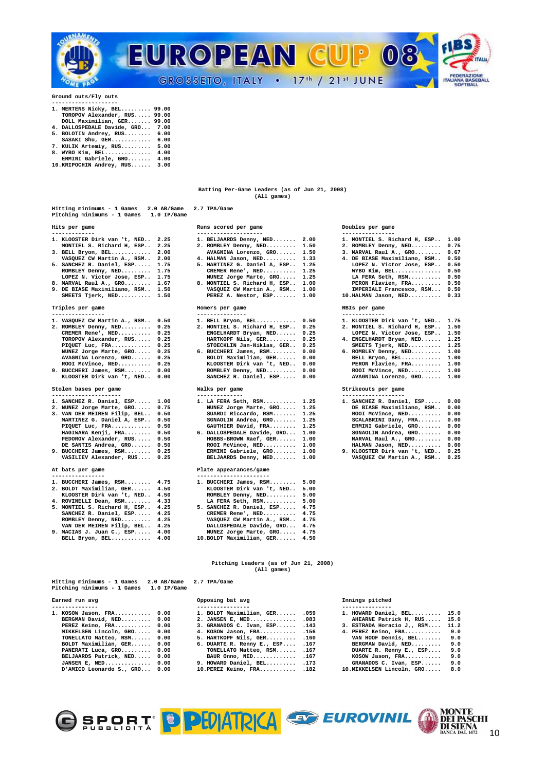

**Ground outs/Fly outs** 

- **-------------------- 1. MERTENS Nicky, BEL......... 99.00 TOROPOV Alexander, RUS..... 99.00 DOLL Maximilian, GER....... 99.00**
- **4. DALLOSPEDALE Davide, GRO... 7.00 5. BOLOTIN Andrey, RUS........ 6.00 SASAKI Shu, GER............ 6.00 7. KULIK Artemiy, RUS......... 5.00**
- 
- **8. WYBO Kim, BEL.............. 4.00 ERMINI Gabriele, GRO....... 4.00 10.KRIPOCHIN Andrey, RUS...... 3.00**
- 

### **Batting Per-Game Leaders (as of Jun 21, 2008) (All games)**

| Hitting minimums - 1 Games<br>$2.0$ AB/Game<br>Pitching minimums - 1 Games<br>$1.0$ IP/Game                                                                                                                                                                                                                                                                                                           | 2.7 TPA/Game                                                                                                                                                                                                                                                                                                                                          |                                                                                                                                                                                                                                                                                                                                                                     |
|-------------------------------------------------------------------------------------------------------------------------------------------------------------------------------------------------------------------------------------------------------------------------------------------------------------------------------------------------------------------------------------------------------|-------------------------------------------------------------------------------------------------------------------------------------------------------------------------------------------------------------------------------------------------------------------------------------------------------------------------------------------------------|---------------------------------------------------------------------------------------------------------------------------------------------------------------------------------------------------------------------------------------------------------------------------------------------------------------------------------------------------------------------|
| Hits per game<br>-------------                                                                                                                                                                                                                                                                                                                                                                        | Runs scored per game<br>--------------------                                                                                                                                                                                                                                                                                                          | Doubles per game<br>----------------                                                                                                                                                                                                                                                                                                                                |
| 1. KLOOSTER Dirk van 't, NED<br>2.25<br>MONTIEL S. Richard H, ESP<br>2.25<br>2.00<br>3. BELL Bryon, BEL<br>VASQUEZ CW Martin A., RSM<br>2.00<br>5. SANCHEZ R. Daniel, ESP<br>1.75<br>ROMBLEY Denny, NED 1.75<br>LOPEZ N. Victor Jose, ESP 1.75<br>8. MARVAL Raul A., GRO 1.67<br>9. DE BIASE Maximiliano, RSM 1.50<br>SMEETS Tjerk, NED 1.50                                                          | 1. BELJAARDS Denny, NED<br>2.00<br>2. ROMBLEY Denny, NED<br>1.50<br>AVAGNINA Lorenzo, GRO<br>1.50<br>4. HALMAN Jason, NED<br>1.33<br>5. MARTINEZ G. Daniel A, ESP<br>1.25<br>CREMER Rene', NED<br>1.25<br>NUNEZ Jorge Marte, GRO<br>1.25<br>8. MONTIEL S. Richard H, ESP<br>1.00<br>VASQUEZ CW Martin A., RSM<br>1.00<br>PEREZ A. Nestor, ESP<br>1.00 | 1. MONTIEL S. Richard H, ESP<br>1.00<br>2. ROMBLEY Denny, NED<br>0.75<br>3. MARVAL Raul A., GRO<br>0.67<br>4. DE BIASE Maximiliano, RSM<br>0.50<br>0.50<br>LOPEZ N. Victor Jose, ESP<br>0.50<br>WYBO Kim, BEL<br>LA FERA Seth, RSM<br>0.50<br>PERON Flavien, FRA<br>0.50<br>IMPERIALI Francesco, RSM<br>0.50<br>10.HALMAN Jason, NED<br>0.33                        |
| Triples per game<br>----------------                                                                                                                                                                                                                                                                                                                                                                  | Homers per game<br>---------------                                                                                                                                                                                                                                                                                                                    | RBIs per game<br>-------------                                                                                                                                                                                                                                                                                                                                      |
| 1. VASQUEZ CW Martin A., RSM<br>0.50<br>2. ROMBLEY Denny, NED<br>0.25<br>CREMER Rene', NED<br>0.25<br>TOROPOV Alexander, RUS<br>0.25<br>PIQUET Luc, $\texttt{FRA}$<br>0.25<br>NUNEZ Jorge Marte, GRO<br>0.25<br>AVAGNINA Lorenzo, GRO 0.25<br>0.25<br>ROOI McVince, NED<br>9. BUCCHERI James, RSM<br>0.00<br>KLOOSTER Dirk van 't, NED 0.00                                                           | 1. BELL Bryon, BEL<br>0.50<br>2. MONTIEL S. Richard H, ESP<br>0.25<br>ENGELHARDT Bryan, NED<br>0.25<br>HARTKOPF Nils, $GER$<br>0.25<br>STOECKLIN Jan-Niklas, GER<br>0.25<br>6. BUCCHERI James, RSM<br>0.00<br>BOLDT Maximilian, GER<br>0.00<br>KLOOSTER Dirk van 't, NED<br>0.00<br>$ROMBLEY$ Denny, $NED$<br>0.00<br>SANCHEZ R. Daniel, ESP<br>0.00  | 1. KLOOSTER Dirk van 't, NED<br>1.75<br>2. MONTIEL S. Richard H, ESP<br>1.50<br>LOPEZ N. Victor Jose, ESP<br>1.50<br>1.25<br>4. ENGELHARDT Bryan, NED<br>SMEETS Tjerk, NED<br>1.25<br>1.00<br>6. ROMBLEY Denny, NED<br>BELL Bryon, BEL<br>1.00<br>PERON Flavien, FRA<br>1.00<br>$ROOI$ McVince, $NED$<br>1.00<br>AVAGNINA Lorenzo, GRO<br>1.00                      |
| Stolen bases per game                                                                                                                                                                                                                                                                                                                                                                                 | Walks per game                                                                                                                                                                                                                                                                                                                                        | Strikeouts per game                                                                                                                                                                                                                                                                                                                                                 |
| ---------------------<br>1. SANCHEZ R. Daniel, ESP 1.00<br>2. NUNEZ Jorge Marte, GRO<br>0.75<br>3. VAN DER MEIREN Filip, BEL<br>0.50<br>MARTINEZ G. Daniel A, ESP<br>0.50<br>PIQUET Luc, $\texttt{FRA} \dots \dots \dots$<br>0.50<br>HAGIWARA Kenji, FRA<br>0.50<br>FEDOROV Alexander, RUS<br>0.50<br>DE SANTIS Andrea, GRO<br>0.50<br>9. BUCCHERI James, RSM<br>0.25<br>VASILIEV Alexander, RUS 0.25 | --------------<br>1. LA FERA Seth, RSM 1.25<br>NUNEZ Jorge Marte, GRO 1.25<br>SUARDI Riccardo, RSM<br>1.25<br>SGNAOLIN Andrea, GRO<br>1.25<br>GAUTHIER David, FRA<br>1.25<br>6. DALLOSPEDALE Davide, GRO<br>1.00<br>HOBBS-BROWN Raef, GER<br>1.00<br>ROOI McVince, NED<br>1.00<br>ERMINI Gabriele, GRO<br>1.00<br>BELJAARDS Denny, NED 1.00           | -------------------<br>1. SANCHEZ R. Daniel, ESP<br>0.00<br>DE BIASE Maximiliano, RSM<br>0.00<br>ROOI McVince, NED<br>0.00<br>0.00<br>SCALABRINI Dany, FRA<br>0.00<br>ERMINI Gabriele, GRO<br>0.00<br>SGNAOLIN Andrea, GRO<br>MARVAL Raul A., GRO<br>0.00<br>0.00<br>HALMAN Jason, NED<br>9. KLOOSTER Dirk van 't, NED<br>0.25<br>0.25<br>VASQUEZ CW Martin A., RSM |
| At bats per game<br>----------------                                                                                                                                                                                                                                                                                                                                                                  | Plate appearances/game<br>----------------------                                                                                                                                                                                                                                                                                                      |                                                                                                                                                                                                                                                                                                                                                                     |
| 1. BUCCHERI James, RSM<br>4.75<br>2. BOLDT Maximilian, GER<br>4.50<br>KLOOSTER Dirk van 't, NED<br>4.50<br>4. ROVINELLI Dean, RSM<br>4.33<br>5. MONTIEL S. Richard H, ESP<br>4.25<br>SANCHEZ R. Daniel, ESP<br>4.25<br>4.25<br>ROMBLEY Denny, NED<br>VAN DER MEIREN Filip, BEL<br>4.25<br>9. MACIAS J. Juan C., ESP<br>4.00<br>BELL Bryon, BEL<br>4.00                                                | 1. BUCCHERI James, RSM<br>5.00<br>KLOOSTER Dirk van 't, NED<br>5.00<br>ROMBLEY Denny, NED<br>5.00<br>LA FERA Seth, RSM<br>5.00<br>5. SANCHEZ R. Daniel, ESP<br>4.75<br>CREMER Rene', NED<br>4.75<br>VASQUEZ CW Martin A., RSM<br>4.75<br>DALLOSPEDALE Davide, GRO<br>4.75<br>NUNEZ Jorge Marte, GRO<br>4.75<br>10. BOLDT Maximilian, GER<br>4.50      |                                                                                                                                                                                                                                                                                                                                                                     |

| Hitting minimums - 1 Games<br>Pitching minimums - 1 Games | 2.0 AB/Game 2.7 TPA/Game<br>$1.0$ IP/Game |              |
|-----------------------------------------------------------|-------------------------------------------|--------------|
| Earned run avg                                            |                                           | Opposing bat |

| 1. KOSOW JASON, FRA U.UU      | 1. BOLDI Maximilian, GER .059   | 1. HOWARD Daniel, BEL 15.0      |  |
|-------------------------------|---------------------------------|---------------------------------|--|
| BERGMAN David, NED 0.00       | 2. JANSEN E. NED .083           | AHEARNE Patrick H, RUS 15.0     |  |
| PEREZ Keino, FRA 0.00         | 3. GRANADOS C. Ivan, ESP . 143  | 3. ESTRADA Horacio J,, RSM 11.2 |  |
| MIKKELSEN Lincoln, GRO 0.00   | 4. KOSOW Jason, FRA .156        | 4. PEREZ Keino, FRA 9.0         |  |
| TONELLATO Matteo, RSM 0.00    | 5. HARTKOPF Nils, GER .160      | VAN HOOF Dennis, BEL 9.0        |  |
| BOLDT Maximilian, GER 0.00    | 6. DUARTE R. Renny E., ESP .167 | BERGMAN David, NED 9.0          |  |
| PANERATI Luca, GRO 0.00       | TONELLATO Matteo, RSM .167      | DUARTE R. Renny E., ESP 9.0     |  |
| BELJAARDS Patrick, NED 0.00   | BAUR Onno, $NED$ $167$          | $KOSOW$ Jason, $FRA$ 9.0        |  |
| JANSEN E. NED $0.00$          | 9. HOWARD Daniel, BEL . 173     | GRANADOS C. Ivan, ESP 9.0       |  |
| D'AMICO Leonardo S., GRO 0.00 | $10.PEREZ$ Keino, $FRA$ .182    | 10. MIKKELSEN Lincoln, GRO 8.0  |  |

**Hitting minimums - 1 Games 2.0 AB/Game 2.7 TPA/Game** 

| 1. BELJAARDS Denny, NED      | 2.00 |
|------------------------------|------|
| 2. ROMBLEY Denny, NED        | 1.50 |
| AVAGNINA Lorenzo, GRO        | 1.50 |
| 4. HALMAN Jason, NED         | 1.33 |
| 5. MARTINEZ G. Daniel A, ESP | 1.25 |
| CREMER Rene', NED            | 1.25 |
| NUNEZ Jorge Marte, GRO       | 1.25 |
| 8. MONTIEL S. Richard H. ESP | 1.00 |
| VASQUEZ CW Martin A., RSM    | 1.00 |
| PEREZ A. Nestor, ESP         | 1.00 |
|                              |      |
| Homers per game              |      |

| --------------- |  |  |  |  |  |  |  |  |
|-----------------|--|--|--|--|--|--|--|--|
|                 |  |  |  |  |  |  |  |  |

| 1. BELL Bryon, BEL           | 0.50 |
|------------------------------|------|
| 2. MONTIEL S. Richard H, ESP | 0.25 |
| ENGELHARDT Brvan, NED        | 0.25 |
| HARTKOPF Nils, GER           | 0.25 |
| STOECKLIN Jan-Niklas, GER    | 0.25 |
| 6. BUCCHERI James, RSM       | 0.00 |
| BOLDT Maximilian, GER        | 0.00 |
| KLOOSTER Dirk van 't, NED    | 0.00 |
| ROMBLEY Denny, NED           | 0.00 |
| SANCHEZ R. Daniel, ESP       | 0.00 |
|                              |      |

| 1. LA FERA Seth, RSM        | 1.25 |
|-----------------------------|------|
| NUNEZ Jorge Marte, GRO      | 1.25 |
| SUARDI Riccardo, RSM        | 1.25 |
| SGNAOLIN Andrea, GRO        | 1.25 |
| GAUTHIER David, FRA         | 1.25 |
| 6. DALLOSPEDALE Davide, GRO | 1.00 |
| HOBBS-BROWN Raef, GER       | 1.00 |
| ROOI McVince, NED           | 1.00 |
| ERMINI Gabriele, GRO        | 1.00 |
| BELJAARDS Denny, NED        | 1.00 |
|                             |      |

### Plate appearances/game

| . BUCCHERI James, RSM     | 5.00 |
|---------------------------|------|
| KLOOSTER Dirk van 't, NED | 5.00 |
| ROMBLEY Denny, NED        | 5.00 |
| LA FERA Seth, RSM         | 5.00 |
| 5. SANCHEZ R. Daniel, ESP | 4.75 |
| CREMER Rene', NED         | 4.75 |
| VASQUEZ CW Martin A., RSM | 4.75 |
| DALLOSPEDALE Davide, GRO  | 4.75 |
| NUNEZ Jorge Marte, GRO    | 4.75 |
| 10.BOLDT Maximilian, GER  | 4.50 |
|                           |      |

### **Pitching Leaders (as of Jun 21, 2008) (All games)**

|                             | $\overline{\phantom{a}}$          | 111111199 PICCIICO               |  |
|-----------------------------|-----------------------------------|----------------------------------|--|
| --------------              | ----------------                  |                                  |  |
| 1. KOSOW Jason, FRA 0.00    | 1. BOLDT Maximilian, GER .059     | 1. HOWARD Daniel, BEL 15.0       |  |
| BERGMAN David, NED 0.00     | 2. JANSEN E, NED .083             | AHEARNE Patrick H, RUS 15.0      |  |
| PEREZ Keino, FRA 0.00       | 3. GRANADOS C. Ivan, $ESP$ $.143$ | 3. ESTRADA Horacio J,, RSM 11.2  |  |
| MIKKELSEN Lincoln, GRO 0.00 | 4. KOSOW Jason, FRA .156          | 4. PEREZ Keino, FRA 9.0          |  |
| TONELLATO Matteo, RSM 0.00  | $5.$ HARTKOPF Nils, GER $160$     | VAN HOOF Dennis, BEL 9.0         |  |
| BOLDT Maximilian, GER 0.00  | 6. DUARTE R. Renny E., ESP $.167$ | BERGMAN David, NED 9.0           |  |
| PANERATI Luca, GRO 0.00     | TONELLATO Matteo, RSM .167        | DUARTE R. Renny E., ESP 9.0      |  |
| BELJAARDS Patrick, NED 0.00 | BAUR Onno, $NED$ $167$            | $KOSOW$ Jason, $FRA$ 9.0         |  |
| JANSEN E. NED $0.00$        | 9. HOWARD Daniel, BEL .173        | GRANADOS C. Ivan, $ESP$ $9.0$    |  |
| DIANTO Loopendo C CDO 0.00  | $10 \text{ m}$                    | 10 MTWELCEN Lingaln $(300 - 80)$ |  |

## 1. MONTIEL S. Richard H, ESP.. 1.00

| 4. ROMBLEI DENNY, NED        |      |
|------------------------------|------|
| 3. MARVAL Raul A., GRO       | 0.67 |
| 4. DE BIASE Maximiliano, RSM | 0.50 |
| LOPEZ N. Victor Jose, ESP    | 0.50 |
| WYBO Kim, BEL                | 0.50 |
| LA FERA Seth, RSM            | 0.50 |
| PERON Flavien, FRA           | 0.50 |
| IMPERIALI Francesco, RSM     | 0.50 |
| 10. HALMAN Jason, NED        | 0.33 |
|                              |      |

| . KLOOSTER Dirk van 't, NED 1.75 |  |  |  |
|----------------------------------|--|--|--|
| -------- - - - - - - --          |  |  |  |

| 2. MONIIEL S. KICHAIU A, ESP 1.30 |  |  |
|-----------------------------------|--|--|
| LOPEZ N Victor Jose ESP 150       |  |  |

- 
- 

| 1. SANCHEZ R. Daniel, ESP    | 0.00 |
|------------------------------|------|
| DE BIASE Maximiliano, RSM    | 0.00 |
| ROOI McVince, NED            | 0.00 |
| SCALABRINI Dany, FRA         | 0.00 |
| ERMINI Gabriele, GRO         | 0.00 |
| SGNAOLIN Andrea, GRO         | 0.00 |
| MARVAL Raul A., GRO          | 0.00 |
| HALMAN Jason, NED            | 0.00 |
| 9. KLOOSTER Dirk van 't, NED | 0.25 |

## **Earned run avg Opposing bat avg Innings pitched**

| HOWARD Daniel, BEL           | 15.0 |
|------------------------------|------|
| AHEARNE Patrick H, RUS       | 15.0 |
| ESTRADA Horacio J,, RSM 11.2 |      |
| . PEREZ Keino, FRA           | 9.0  |

- **TAN HOOF Dennis, BEL....... 9.0**<br>BERGMAN David, NED......... 9.0<br>DUARTE R. Renny E., ESP.... 9.0
- 
- 
- 

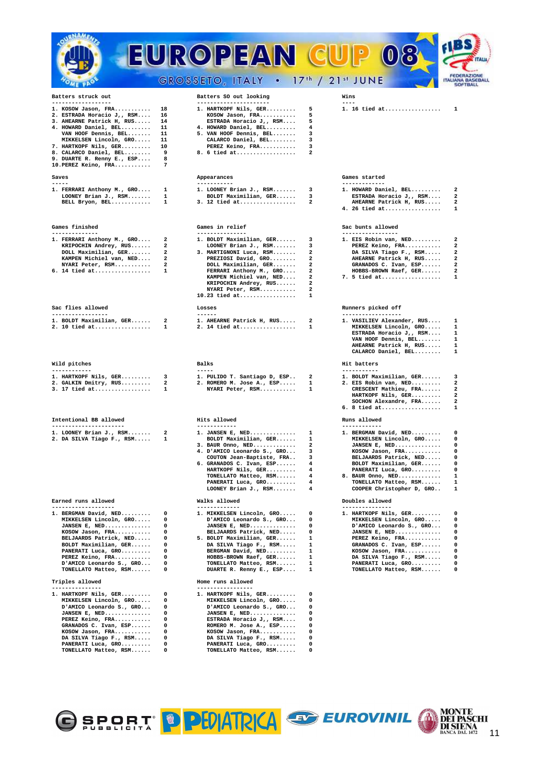|                                                         |                                | EUROPEAN C                                               |                                                    | $\frac{1}{\sigma}$                                 |                                                                   |
|---------------------------------------------------------|--------------------------------|----------------------------------------------------------|----------------------------------------------------|----------------------------------------------------|-------------------------------------------------------------------|
|                                                         |                                | GROSSETO, ITALY . 17th / 21st JUNE                       |                                                    |                                                    | <b>FEDERAZIONE</b><br><b>ITALIANA BASEBALL</b><br><b>SOFTBALL</b> |
| Batters struck out<br>------------------                |                                | Batters SO out looking<br>----------------------         |                                                    | Wins<br>$- - - -$                                  |                                                                   |
| 1. KOSOW Jason, FRA                                     | 18                             | 1. HARTKOPF Nils, GER                                    | 5                                                  | 1. 16 tied at                                      | 1                                                                 |
| 2. ESTRADA Horacio J,, RSM<br>3. AHEARNE Patrick H, RUS | 16<br>14                       | KOSOW Jason, FRA<br>ESTRADA Horacio J,, RSM              | 5<br>5                                             |                                                    |                                                                   |
| 4. HOWARD Daniel, BEL                                   | 11                             | 4. HOWARD Daniel, BEL                                    | 4                                                  |                                                    |                                                                   |
| VAN HOOF Dennis, BEL<br>MIKKELSEN Lincoln, GRO          | 11<br>11                       | 5. VAN HOOF Dennis, BEL<br>CALARCO Daniel, BEL           | 3<br>з                                             |                                                    |                                                                   |
| 7. HARTKOPF Nils, GER                                   | 10                             | PEREZ Keino, FRA                                         | 3                                                  |                                                    |                                                                   |
| 8. CALARCO Daniel, BEL<br>9. DUARTE R. Renny E., ESP    | 9<br>8                         | 8. 6 tied at                                             | $\overline{a}$                                     |                                                    |                                                                   |
| 10. PEREZ Keino, FRA                                    | 7                              |                                                          |                                                    |                                                    |                                                                   |
| Saves                                                   |                                | Appearances                                              |                                                    | Games started                                      |                                                                   |
| -----<br>1. FERRARI Anthony M., GRO                     | 1                              | -----------<br>1. LOONEY Brian J., RSM                   | 3                                                  | -------------<br>1. HOWARD Daniel, BEL             | 2                                                                 |
| LOONEY Brian J., RSM                                    | 1                              | BOLDT Maximilian, GER                                    | 3                                                  | ESTRADA Horacio $J_{I}$ , RSM                      | $\overline{a}$                                                    |
| BELL Bryon, BEL                                         | 1                              | $3. 12$ tied at                                          | 2                                                  | AHEARNE Patrick H, RUS<br>4. 26 tied at            | 2<br>1                                                            |
|                                                         |                                |                                                          |                                                    |                                                    |                                                                   |
| Games finished<br>--------------                        |                                | Games in relief<br>---------------                       |                                                    | Sac bunts allowed<br>-----------------             |                                                                   |
| 1. FERRARI Anthony M., GRO                              | 2                              | 1. BOLDT Maximilian, GER                                 | 3                                                  | 1. EIS Robin van, NED                              | $\overline{a}$                                                    |
| KRIPOCHIN Andrey, RUS<br>DOLL Maximilian, GER           | 2<br>2                         | LOONEY Brian J., RSM<br>3. MARTIGNONI Luca, RSM          | з<br>2                                             | PEREZ Keino, FRA<br>DA SILVA Tiago F., RSM         | 2<br>2                                                            |
| KAMPEN Michiel van, NED                                 | 2                              | PREZIOSI David, GRO                                      | 2                                                  | AHEARNE Patrick H, RUS                             | 2                                                                 |
| NYARI Peter, RSM                                        | 2                              | DOLL Maximilian, GER                                     | 2                                                  | GRANADOS C. Ivan, ESP                              | $\overline{a}$                                                    |
| 6. 14 tied at                                           | 1                              | FERRARI Anthony M., GRO<br>KAMPEN Michiel van, NED       | 2<br>2                                             | HOBBS-BROWN Raef, GER<br>$7.5$ tied at             | 2<br>1                                                            |
|                                                         |                                | KRIPOCHIN Andrey, RUS                                    | $\overline{\mathbf{2}}$<br>$\overline{\mathbf{2}}$ |                                                    |                                                                   |
|                                                         |                                | NYARI Peter, RSM<br>$10.23$ tied at                      | 1                                                  |                                                    |                                                                   |
| Sac flies allowed                                       |                                | Losses                                                   |                                                    | Runners picked off                                 |                                                                   |
| -----------------<br>1. BOLDT Maximilian, GER           | 2                              | ------<br>1. AHEARNE Patrick H, RUS                      | $\mathbf{2}$                                       | ------------------<br>1. VASILIEV Alexander, RUS   | 1                                                                 |
| 2. 10 tied at                                           | 1                              | 2. 14 tied at                                            | 1                                                  | MIKKELSEN Lincoln, GRO                             | 1                                                                 |
|                                                         |                                |                                                          |                                                    | ESTRADA Horacio J,, RSM<br>VAN HOOF Dennis, BEL    | 1<br>1                                                            |
|                                                         |                                |                                                          |                                                    | AHEARNE Patrick H, RUS                             | 1                                                                 |
|                                                         |                                |                                                          |                                                    | CALARCO Daniel, BEL                                | 1                                                                 |
| Wild pitches<br>------------                            |                                | Balks<br>$- - - - -$                                     |                                                    | Hit batters<br>-----------                         |                                                                   |
| 1. HARTKOPF Nils, GER                                   | 3                              | 1. PULIDO T. Santiago D, ESP                             | 2                                                  | 1. BOLDT Maximilian, GER                           | 3                                                                 |
| 2. GALKIN Dmitry, RUS<br>$3.17$ tied at                 | $\overline{a}$<br>$\mathbf{1}$ | 2. ROMERO M. Jose A., ESP<br>NYARI Peter, RSM            | $\mathbf{1}$<br>1                                  | 2. EIS Robin van, NED<br>CRESCENT Mathieu, FRA     | $\overline{a}$<br>$\overline{a}$                                  |
|                                                         |                                |                                                          |                                                    | HARTKOPF Nils, GER                                 | 2                                                                 |
|                                                         |                                |                                                          |                                                    | SOCHON Alexandre, FRA<br>6. 8 tied at              | $\overline{a}$<br>1                                               |
| Intentional BB allowed                                  |                                | Hits allowed                                             |                                                    | Runs allowed                                       |                                                                   |
| ----------------------                                  |                                | ------------                                             |                                                    | ------------                                       |                                                                   |
| 1. LOONEY Brian J., RSM<br>2. DA SILVA Tiago F., RSM    | 2<br>1                         | 1. JANSEN E, NED<br>BOLDT Maximilian, GER                | 1<br>1                                             | 1. BERGMAN David, NED<br>MIKKELSEN Lincoln, GRO    | 0<br>0                                                            |
|                                                         |                                | 3. BAUR Onno, NED                                        | 2                                                  | JANSEN E, NED                                      | 0                                                                 |
|                                                         |                                | 4. D'AMICO Leonardo S., GRO<br>COUTON Jean-Baptiste, FRA | 3<br>з                                             | KOSOW Jason, FRA<br>BELJAARDS Patrick, NED         | 0<br>0                                                            |
|                                                         |                                | 6. GRANADOS C. Ivan, ESP                                 | 4                                                  | BOLDT Maximilian, GER                              | 0                                                                 |
|                                                         |                                | HARTKOPF Nils, GER<br>TONELLATO Matteo, RSM              | 4<br>4                                             | PANERATI Luca, GRO<br>8. BAUR Onno, NED            | 0<br>1                                                            |
|                                                         |                                | PANERATI Luca, GRO                                       | 4                                                  | TONELLATO Matteo, RSM                              | 1                                                                 |
|                                                         |                                | LOONEY Brian J., RSM                                     | 4                                                  | COOPER Christopher D, GRO                          | 1                                                                 |
| Earned runs allowed<br>-------------------              |                                | Walks allowed<br>-------------                           |                                                    | Doubles allowed<br>---------------                 |                                                                   |
| 1. BERGMAN David, NED                                   | 0                              | 1. MIKKELSEN Lincoln, GRO                                | 0                                                  | 1. HARTKOPF Nils, GER                              | 0                                                                 |
| MIKKELSEN Lincoln, GRO<br>JANSEN E, NED                 | 0<br>0                         | D'AMICO Leonardo S., GRO<br>JANSEN E, NED                | $\Omega$<br>0                                      | MIKKELSEN Lincoln, GRO<br>D'AMICO Leonardo S., GRO | 0<br>0                                                            |
| KOSOW Jason, FRA                                        | 0                              | BELJAARDS Patrick, NED                                   | 0                                                  | JANSEN E, NED                                      | 0                                                                 |
| BELJAARDS Patrick, NED<br>BOLDT Maximilian, GER         | 0<br>0                         | 5. BOLDT Maximilian, GER<br>DA SILVA Tiago F., RSM       | 1                                                  | PEREZ Keino, FRA<br>GRANADOS C. Ivan, ESP          | 0<br>0                                                            |
| PANERATI Luca, GRO                                      | 0                              | BERGMAN David, NED                                       | 1<br>1                                             | KOSOW Jason, FRA                                   | 0                                                                 |
| PEREZ Keino, FRA                                        | 0<br>0                         | HOBBS-BROWN Raef, GER                                    | 1<br>1                                             | DA SILVA Tiago F., RSM                             | 0<br>0                                                            |
| D'AMICO Leonardo S., GRO<br>TONELLATO Matteo, RSM       | 0                              | TONELLATO Matteo, RSM<br>DUARTE R. Renny E., ESP         | 1                                                  | PANERATI Luca, GRO<br>TONELLATO Matteo, RSM        | 0                                                                 |
| Triples allowed                                         |                                | Home runs allowed                                        |                                                    |                                                    |                                                                   |
| ---------------<br>1. HARTKOPF Nils, GER                | 0                              | -----------------<br>1. HARTKOPF Nils, GER               | 0                                                  |                                                    |                                                                   |
| MIKKELSEN Lincoln, GRO                                  | 0                              | MIKKELSEN Lincoln, GRO                                   | 0                                                  |                                                    |                                                                   |
| D'AMICO Leonardo S., GRO<br>JANSEN E, NED               | 0<br>0                         | D'AMICO Leonardo S., GRO<br>JANSEN E, NED                | 0<br>$\Omega$                                      |                                                    |                                                                   |
| PEREZ Keino, FRA                                        | 0                              | ESTRADA Horacio $J_{I}$ , RSM                            | 0                                                  |                                                    |                                                                   |
| GRANADOS C. Ivan, ESP                                   | 0                              | ROMERO M. Jose A., ESP                                   | 0                                                  |                                                    |                                                                   |
| KOSOW Jason, FRA<br>DA SILVA Tiago F., RSM              | 0<br>0                         | KOSOW Jason, FRA<br>DA SILVA Tiago F., RSM               | 0<br>0                                             |                                                    |                                                                   |
| PANERATI Luca, GRO                                      | 0                              | PANERATI Luca, GRO                                       | 0                                                  |                                                    |                                                                   |
| TONELLATO Matteo, RSM                                   | 0                              | TONELLATO Matteo, RSM                                    | 0                                                  |                                                    |                                                                   |



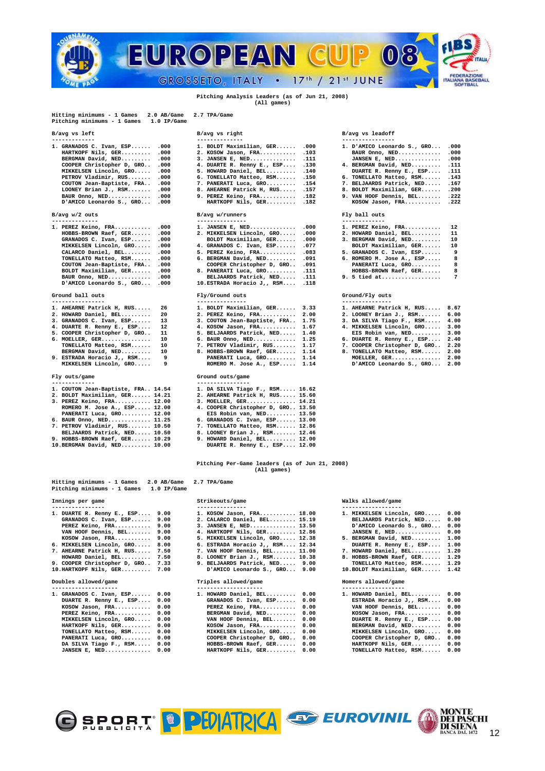

### **Pitching Analysis Leaders (as of Jun 21, 2008) (All games)**

**Hitting minimums - 1 Games 2.0 AB/Game 2.7 TPA/Game Pitching minimums - 1 Games 1.0 IP/Game** 

| $1.$ GRANADOS C. Ivan, ESP .000 | 1. BOLDT Maximilian, GER .000   |  |
|---------------------------------|---------------------------------|--|
| HARTKOPF Nils, GER .000         | 2. KOSOW Jason, FRA . 103       |  |
| BERGMAN David, NED .000         | 3. JANSEN E, NED .111           |  |
| COOPER Christopher D. GRO .000  | 4. DUARTE R. Renny E., ESP .130 |  |
| MIKKELSEN Lincoln, GRO .000     | 5. HOWARD Daniel, BEL .140      |  |
| PETROV Vladimir, RUS .000       | 6. TONELLATO Matteo, RSM .150   |  |
| COUTON Jean-Baptiste, FRA . 000 | 7. PANERATI Luca, GRO .154      |  |
| LOONEY Brian J., $RSM$ .000     | 8. AHEARNE Patrick H, RUS .157  |  |
| BAUR Onno, NED .000             | 9. PEREZ Keino, FRA .182        |  |
| D'AMICO Leonardo S., GRO .000   | HARTKOPF Nils, GER .182         |  |
|                                 |                                 |  |

| 1. PEREZ Keino, FRA       | .00 |
|---------------------------|-----|
| HOBBS-BROWN Raef, GER     | .00 |
| GRANADOS C. Ivan, ESP     | .00 |
| MIKKELSEN Lincoln, GRO    | .00 |
| CALARCO Daniel, BEL       | .00 |
| TONELLATO Matteo, RSM     | .00 |
| COUTON Jean-Baptiste, FRA | .00 |
| BOLDT Maximilian, GER     | .00 |
| BAUR Onno, NED            | .00 |
| D'AMICO Leonardo S., GRO  | .00 |
|                           |     |

| 1. AHEARNE Patrick H, RUS    | 26 | 1. BOLDT Maximili |
|------------------------------|----|-------------------|
| 2. HOWARD Daniel, BEL        | 20 | 2. PEREZ Keino, F |
| 3. GRANADOS C. Ivan, ESP     | 13 | 3. COUTON Jean-Ba |
| 4. DUARTE R. Renny E., ESP   | 12 | 4. KOSOW Jason, F |
| 5. COOPER Christopher D, GRO | 11 | 5. BELJAARDS Patr |
| $6. \text{ MOELLER.}$ GER    | 10 | 6. BAUR Onno, NED |
| TONELLATO Matteo, RSM        | 10 | 7. PETROV Vladimi |
| BERGMAN David, NED           | 10 | 8. HOBBS-BROWN Ra |
| 9. ESTRADA Horacio J,, RSM   | 9  | PANERATI Luca,    |
| MIKKELSEN Lincoln, GRO       | 9  | ROMERO M. Jose    |
| Fly outs/game                |    | Ground outs/game  |
|                              |    |                   |

| 1. COUTON Jean-Baptiste, FRA., 14.54 |  | 1. DA SILVA Tiago F., RSM 16.62    |
|--------------------------------------|--|------------------------------------|
| 2. BOLDT Maximilian, GER 14.21       |  | 2. AHEARNE Patrick H, RUS 15.60    |
| 3. PEREZ Keino, FRA 12.00            |  | 3. MOELLER, GER 14.21              |
| ROMERO M. Jose A., ESP 12.00         |  | 4. COOPER Christopher D. GRO 13.50 |
| PANERATI Luca, GRO 12.00             |  | EIS Robin van, NED 13.50           |
| 6. BAUR Onno, NED 11.25              |  | 6. GRANADOS C. Ivan, ESP 13.00     |
| 7. PETROV Vladimir, RUS 10.50        |  | 7. TONELLATO Matteo, RSM 12.86     |
| BELJAARDS Patrick, NED 10.50         |  | 8. LOONEY Brian J., RSM 12.46      |
| 9. HOBBS-BROWN Raef, GER 10.29       |  | 9. HOWARD Daniel, BEL 12.00        |
| 10.BERGMAN David, NED 10.00          |  | DUARTE R. Renny E., ESP 12.00      |

| 10.BERGMAN David, NED 10. |  |  |  |  |
|---------------------------|--|--|--|--|
|                           |  |  |  |  |

| Hitting minimums - 1 Games<br>$2.0$ AB/Game<br>2.7 TPA/Game<br>Pitching minimums - 1 Games<br>$1.0$ IP/Game |                                  |                                |  |  |  |  |  |  |
|-------------------------------------------------------------------------------------------------------------|----------------------------------|--------------------------------|--|--|--|--|--|--|
| Innings per game<br>----------------                                                                        | Strikeouts/game                  | Walks allowed/game             |  |  |  |  |  |  |
| 1. DUARTE R. Renny E., ESP 9.00                                                                             | 1. KOSOW Jason, FRA 18.00        | 1. MIKKELSEN Lincoln, GRO 0.00 |  |  |  |  |  |  |
| GRANADOS C. Ivan, ESP 9.00                                                                                  | 2. CALARCO Daniel, BEL 15.19     | BELJAARDS Patrick, NED 0.00    |  |  |  |  |  |  |
| PEREZ Keino, FRA 9.00                                                                                       | 3. JANSEN E, NED 13.50           | D'AMICO Leonardo S., GRO 0.00  |  |  |  |  |  |  |
| VAN HOOF Dennis, BEL 9.00                                                                                   | 4. HARTKOPF Nils, GER 12.86      | JANSEN E. NED $0.00$           |  |  |  |  |  |  |
| $KOSOW$ Jason, $FRA$ 9.00                                                                                   | 5. MIKKELSEN Lincoln, GRO 12.38  | 5. BERGMAN David, NED 1.00     |  |  |  |  |  |  |
| 6. MIKKELSEN Lincoln, GRO 8.00                                                                              | 6. ESTRADA Horacio J., RSM 12.34 | DUARTE R. Renny E., ESP 1.00   |  |  |  |  |  |  |
| 7. AHEARNE Patrick H, RUS 7.50                                                                              | 7. VAN HOOF Dennis, BEL 11.00    | 7. HOWARD Daniel, BEL 1.20     |  |  |  |  |  |  |
| HOWARD Daniel, BEL 7.50                                                                                     | 8. LOONEY Brian J., RSM 10.38    | 8. HOBBS-BROWN Raef, GER 1.29  |  |  |  |  |  |  |

## Doubles allowed/game

| Ι. | GRANADOS C. Ivan, ESP   | 0.00 |
|----|-------------------------|------|
|    | DUARTE R. Renny E., ESP | 0.00 |
|    | KOSOW Jason, FRA        | 0.00 |
|    | PEREZ Keino, FRA        | 0.00 |
|    | MIKKELSEN Lincoln, GRO  | 0.00 |
|    | HARTKOPF Nils, GER      | 0.00 |
|    | TONELLATO Matteo, RSM   | 0.00 |
|    | PANERATI Luca, GRO      | 0.00 |
|    | DA SILVA Tiago F., RSM  | 0.00 |
|    | JANSEN E, NED           | 0.00 |

| B/avg vs left                                                                                                                                                                                                                                                                 | B/avg vs right                                                                                                                                                                                                                                                                  | B/avg vs leadoff<br>---------------- |                                                                                                                                                                                  |
|-------------------------------------------------------------------------------------------------------------------------------------------------------------------------------------------------------------------------------------------------------------------------------|---------------------------------------------------------------------------------------------------------------------------------------------------------------------------------------------------------------------------------------------------------------------------------|--------------------------------------|----------------------------------------------------------------------------------------------------------------------------------------------------------------------------------|
| 1. GRANADOS C. Ivan, $ESP$ .000<br>HARTKOPF Nils, GER .000<br>BERGMAN David, NED .000<br>COOPER Christopher D. GRO .000<br>MIKKELSEN Lincoln, GRO .000<br>PETROV Vladimir, RUS .000<br>COUTON Jean-Baptiste, FRA .000<br>LOONEY Brian J., $RSM$ .000<br>BAUR Onno, $NED$ .000 | 1. BOLDT Maximilian, GER .000<br>2. KOSOW Jason, FRA .103<br>3. JANSEN E, NED .111<br>4. DUARTE R. Renny E., ESP .130<br>5. HOWARD Daniel, BEL .140<br>6. TONELLATO Matteo, RSM .150<br>7. PANERATI Luca, GRO 154<br>8. AHEARNE Patrick H, RUS .157<br>9. PEREZ Keino, FRA .182 |                                      | 1. D'AMICO Leonar<br>BAUR Onno, NED<br>JANSEN E, NED.<br>4. BERGMAN David,<br>DUARTE R. Renn<br>6. TONELLATO Matt<br>7. BELJAARDS Patr<br>8. BOLDT Maximili<br>9. VAN HOOF Denni |

# **B/avg w/2 outs B/avg w/runners Fly ball outs**

| --------------                                   |   | ---------------                                                                                                                                                                                                                                                                                                                                                                |                                                   |     |
|--------------------------------------------------|---|--------------------------------------------------------------------------------------------------------------------------------------------------------------------------------------------------------------------------------------------------------------------------------------------------------------------------------------------------------------------------------|---------------------------------------------------|-----|
| 1. PEREZ Keino, FRA .000                         |   | 1. JANSEN E. NED .000                                                                                                                                                                                                                                                                                                                                                          | 1. PEREZ Keino, FRA $12$                          |     |
| HOBBS-BROWN Raef, GER .000                       |   | 2. MIKKELSEN Lincoln, GRO .000                                                                                                                                                                                                                                                                                                                                                 | 2. HOWARD Daniel, BEL 11                          |     |
| GRANADOS C. Ivan, $ESP$ .000                     |   | BOLDT Maximilian, GER .000                                                                                                                                                                                                                                                                                                                                                     | 3. BERGMAN David, NED                             | 10  |
| MIKKELSEN Lincoln, GRO .000                      |   | 4. GRANADOS C. Ivan, ESP .077                                                                                                                                                                                                                                                                                                                                                  | BOLDT Maximilian, GER                             | 10  |
| CALARCO Daniel, BEL .000                         |   | 5. PEREZ Keino, FRA .083                                                                                                                                                                                                                                                                                                                                                       | 5. GRANADOS C. Ivan, ESP                          | - 9 |
| TONELLATO Matteo, RSM .000                       |   | 6. BERGMAN David, NED .091                                                                                                                                                                                                                                                                                                                                                     | 6. ROMERO M. Jose A., ESP                         | 8   |
| COUTON Jean-Baptiste, FRA .000                   |   | COOPER Christopher D. GRO .091                                                                                                                                                                                                                                                                                                                                                 | PANERATI Luca, GRO                                | - 8 |
| BOLDT Maximilian, GER .000                       |   | 8. PANERATI Luca, GRO . 111                                                                                                                                                                                                                                                                                                                                                    | HOBBS-BROWN Raef, GER                             | -8  |
| BAUR Onno, $NED$ .000                            |   | BELJAARDS Patrick, NED .111                                                                                                                                                                                                                                                                                                                                                    | 9. 5 tied at                                      | 7   |
| D'AMICO Leonardo S., GRO .000                    |   | 10.ESTRADA Horacio J., RSM .118                                                                                                                                                                                                                                                                                                                                                |                                                   |     |
| Ground ball outs                                 |   | Fly/Ground outs                                                                                                                                                                                                                                                                                                                                                                | Ground/Fly outs                                   |     |
| ----------------<br>1. AHEARNE Patrick H, RUS 26 |   | ---------------                                                                                                                                                                                                                                                                                                                                                                | ---------------<br>1. AHEARNE Patrick H, RUS 8.67 |     |
|                                                  |   | 1. BOLDT Maximilian, GER 3.33                                                                                                                                                                                                                                                                                                                                                  |                                                   |     |
| 2 UOWAPD Deniel PFL                              | ີ | $2.00027$ $Y_{\text{min}}$ $Y_{\text{min}}$ $Y_{\text{min}}$ $Y_{\text{min}}$ $Y_{\text{min}}$ $Y_{\text{min}}$ $Y_{\text{min}}$ $Y_{\text{min}}$ $Y_{\text{min}}$ $Y_{\text{min}}$ $Y_{\text{min}}$ $Y_{\text{min}}$ $Y_{\text{min}}$ $Y_{\text{min}}$ $Y_{\text{min}}$ $Y_{\text{min}}$ $Y_{\text{min}}$ $Y_{\text{min}}$ $Y_{\text{min}}$ $Y_{\text{min}}$ $Y_{\text{min}}$ | 2 LOONEY Brian J BCM 600                          |     |

| 1. AHEARNE Patrick H, RUS 26    |     | 1. BOLDT Maximilian, GER 3.33       |  | 1. AHEARNE Patrick H, RUS 8.67               |  |
|---------------------------------|-----|-------------------------------------|--|----------------------------------------------|--|
| 2. HOWARD Daniel, BEL 20        |     | 2. PEREZ Keino, FRA 2.00            |  | 2. LOONEY Brian J., RSM 6.00                 |  |
| 3. GRANADOS C. Ivan, ESP        | 13  | 3. COUTON Jean-Baptiste, FRA., 1.75 |  | 3. DA SILVA Tiago F., RSM 4.00               |  |
| 4. DUARTE R. Renny E., ESP      | 12  | 4. KOSOW Jason, FRA 1.67            |  | 4. MIKKELSEN Lincoln, GRO 3.00               |  |
| 5. COOPER Christopher D, GRO 11 |     | 5. BELJAARDS Patrick, NED 1.40      |  | EIS Robin van, NED 3.00                      |  |
| $6.$ MOELLER, GER               | 10  | 6. BAUR Onno, NED 1.25              |  | 6. DUARTE R. Renny E., ESP 2.40              |  |
| TONELLATO Matteo, RSM           | 10  | 7. PETROV Vladimir, RUS 1.17        |  | 7. COOPER Christopher D. GRO 2.20            |  |
| BERGMAN David, NED 10           |     | 8. HOBBS-BROWN Raef, GER 1.14       |  | 8. TONELLATO Matteo, RSM 2.00                |  |
| 9. ESTRADA Horacio J,, RSM      | - 9 | PANERATI Luca, GRO 1.14             |  | $MOELLER, GER, \ldots, \ldots, \ldots, 2.00$ |  |
| MIKKELSEN Lincoln, GRO 9        |     | ROMERO M. Jose A., ESP 1.14         |  | D'AMICO Leonardo S., GRO 2.00                |  |
|                                 |     |                                     |  |                                              |  |

| DA SILVA Tiago F., RSM 16.62       |  |
|------------------------------------|--|
| 2. AHEARNE Patrick H, RUS 15.60    |  |
| 3. MOELLER, GER 14.21              |  |
| 1. COOPER Christopher D, GRO 13.50 |  |
| EIS Robin van, NED 13.50           |  |
| 5. GRANADOS C. Ivan. ESP 13.00     |  |

| GRANADOS C. Ivan, ESP 13.00 |  |
|-----------------------------|--|
| TONELLATO Matteo, RSM 12.86 |  |
| LOONEY Brian J., RSM 12.46  |  |

# **Pitching Per-Game leaders (as of Jun 21, 2008) (All games)**

# 2.7 TPA/Game

## **Innings per game Strikeouts/game Walks allowed/game**

| 1. DUARTE R. Renny E., ESP $9.00$ | 1. KOSOW Jason, FRA 18.00        | 1. MIKKELSEN Lincoln, GRO 0.00 |  |
|-----------------------------------|----------------------------------|--------------------------------|--|
| GRANADOS C. Ivan, ESP 9.00        | 2. CALARCO Daniel, BEL 15.19     | BELJAARDS Patrick, NED 0.00    |  |
| PEREZ Keino, FRA 9.00             | 3. JANSEN E, NED 13.50           | D'AMICO Leonardo S., GRO 0.00  |  |
| VAN HOOF Dennis, BEL 9.00         | 4. HARTKOPF Nils, GER 12.86      | JANSEN E. NED $0.00$           |  |
| $KOSOW$ Jason, $FRA$ 9.00         | 5. MIKKELSEN Lincoln, GRO 12.38  | 5. BERGMAN David, NED 1.00     |  |
| 6. MIKKELSEN Lincoln, GRO 8.00    | 6. ESTRADA Horacio J., RSM 12.34 | DUARTE R. Renny E., ESP 1.00   |  |
| 7. AHEARNE Patrick H, RUS 7.50    | 7. VAN HOOF Dennis, BEL 11.00    | 7. HOWARD Daniel, BEL 1.20     |  |
| HOWARD Daniel, BEL 7.50           | 8. LOONEY Brian J., RSM 10.38    | 8. HOBBS-BROWN Raef, GER 1.29  |  |
| 9. COOPER Christopher D. GRO 7.33 | 9. BELJAARDS Patrick, NED 9.00   | TONELLATO Matteo, RSM 1.29     |  |
| $10.$ HARTKOPF Nils, GER $7.00$   | D'AMICO Leonardo S., GRO 9.00    | 10. BOLDT Maximilian, GER 1.42 |  |
|                                   |                                  |                                |  |

|                      | Triples allowed/game                                                                                                                                                                                                                                                                              |  | Homers allowed/game                                                                                                                                                                                                                                                                          |                                                                                                                                                                                                                                                                                                           |
|----------------------|---------------------------------------------------------------------------------------------------------------------------------------------------------------------------------------------------------------------------------------------------------------------------------------------------|--|----------------------------------------------------------------------------------------------------------------------------------------------------------------------------------------------------------------------------------------------------------------------------------------------|-----------------------------------------------------------------------------------------------------------------------------------------------------------------------------------------------------------------------------------------------------------------------------------------------------------|
|                      |                                                                                                                                                                                                                                                                                                   |  |                                                                                                                                                                                                                                                                                              |                                                                                                                                                                                                                                                                                                           |
|                      |                                                                                                                                                                                                                                                                                                   |  |                                                                                                                                                                                                                                                                                              |                                                                                                                                                                                                                                                                                                           |
|                      |                                                                                                                                                                                                                                                                                                   |  |                                                                                                                                                                                                                                                                                              |                                                                                                                                                                                                                                                                                                           |
|                      |                                                                                                                                                                                                                                                                                                   |  |                                                                                                                                                                                                                                                                                              |                                                                                                                                                                                                                                                                                                           |
|                      |                                                                                                                                                                                                                                                                                                   |  |                                                                                                                                                                                                                                                                                              |                                                                                                                                                                                                                                                                                                           |
|                      |                                                                                                                                                                                                                                                                                                   |  |                                                                                                                                                                                                                                                                                              |                                                                                                                                                                                                                                                                                                           |
|                      |                                                                                                                                                                                                                                                                                                   |  |                                                                                                                                                                                                                                                                                              |                                                                                                                                                                                                                                                                                                           |
|                      |                                                                                                                                                                                                                                                                                                   |  |                                                                                                                                                                                                                                                                                              |                                                                                                                                                                                                                                                                                                           |
|                      |                                                                                                                                                                                                                                                                                                   |  |                                                                                                                                                                                                                                                                                              |                                                                                                                                                                                                                                                                                                           |
|                      |                                                                                                                                                                                                                                                                                                   |  |                                                                                                                                                                                                                                                                                              |                                                                                                                                                                                                                                                                                                           |
|                      |                                                                                                                                                                                                                                                                                                   |  |                                                                                                                                                                                                                                                                                              |                                                                                                                                                                                                                                                                                                           |
| Doubles allowed/game | $1.$ GRANADOS C. Ivan, ESP $0.00$<br>DUARTE R. Renny E., ESP 0.00<br>$KOSOW$ Jason, $FRA$ 0.00<br>PEREZ Keino, FRA 0.00<br>MIKKELSEN Lincoln, GRO 0.00<br>HARTKOPF Nils, GER 0.00<br>TONELLATO Matteo, RSM 0.00<br>PANERATI Luca, GRO 0.00<br>DA SILVA Tiago F., RSM 0.00<br>JANSEN E, NED $0.00$ |  | 1. HOWARD Daniel, BEL 0.00<br>GRANADOS C. Ivan, ESP 0.00<br>PEREZ Keino, FRA 0.00<br>BERGMAN David, NED 0.00<br>VAN HOOF Dennis, BEL 0.00<br>KOSOW Jason, FRA 0.00<br>MIKKELSEN Lincoln, GRO 0.00<br>COOPER Christopher D. GRO 0.00<br>HOBBS-BROWN Raef, GER 0.00<br>HARTKOPF Nils, GER 0.00 | 1. HOWARD Daniel, BEL 0.00<br>ESTRADA Horacio J., RSM 0.00<br>VAN HOOF Dennis, BEL 0.00<br>$KOSOW$ Jason, $FRA$ 0.00<br>DUARTE R. Renny E., ESP 0.00<br>BERGMAN David, NED 0.00<br>MIKKELSEN Lincoln, GRO 0.00<br>COOPER Christopher D. GRO 0.00<br>HARTKOPF Nils, GER 0.00<br>TONELLATO Matteo, RSM 0.00 |

| $1.$ GRANADOS C. Ivan, ESP $.000$ | 1. BOLDT Maximilian, GER .000   | 1. D'AMICO Leonardo S., GRO .000 |  |
|-----------------------------------|---------------------------------|----------------------------------|--|
| HARTKOPF Nils, GER .000           | 2. KOSOW Jason, FRA .103        | BAUR Onno, $NED$ .000            |  |
| BERGMAN David, NED .000           | 3. JANSEN E, NED 111            | JANSEN E. NED $.000$             |  |
| COOPER Christopher D, GRO .000    | 4. DUARTE R. Renny E., ESP .130 | 4. BERGMAN David, NED .111       |  |
| MIKKELSEN Lincoln, GRO .000       | 5. HOWARD Daniel, BEL .140      | DUARTE R. Renny E., ESP .111     |  |
| PETROV Vladimir, RUS .000         | 6. TONELLATO Matteo, RSM .150   | 6. TONELLATO Matteo, RSM . 143   |  |
| COUTON Jean-Baptiste, FRA .000    | 7. PANERATI Luca, GRO .154      | 7. BELJAARDS Patrick, NED .167   |  |
| LOONEY Brian J., RSM .000         | 8. AHEARNE Patrick H, RUS .157  | 8. BOLDT Maximilian, GER .200    |  |
| BAUR Onno, $NED$ .000             | 9. PEREZ Keino, FRA .182        | 9. VAN HOOF Dennis, BEL $.222$   |  |
| D'AMICO Leonardo S., GRO .000     | HARTKOPF Nils, GER 182          | $KOSOW$ Jason, $FRA$ .222        |  |
|                                   |                                 |                                  |  |

| -------------- |  |  |  |  |  |  |
|----------------|--|--|--|--|--|--|
|                |  |  |  |  |  |  |

| . PEREZ REINO, FRA   | $\pm$ |
|----------------------|-------|
| . HOWARD Daniel, BEL | 11    |
| . BERGMAN David, NED | 10    |

| BOLDT Maximilian, GER    | 10 |
|--------------------------|----|
| . GRANADOS C. Ivan, ESP  | ۹  |
| . ROMERO M. Jose A., ESP | 8  |
| PANERATI Luca, GRO       | 8  |

| 1. AHEARNE Patrick H, RUS    | 8.67 |  |
|------------------------------|------|--|
| 2. LOONEY Brian J., RSM      | 6.00 |  |
| 3. DA SILVA Tiago F., RSM    | 4.00 |  |
| 4. MIKKELSEN Lincoln, GRO    | 3.00 |  |
| EIS Robin van, NED           | 3.00 |  |
| 6. DUARTE R. Renny E., ESP   | 2.40 |  |
| 7. COOPER Christopher D. GRO | 2.20 |  |
| 8. TONELLATO Matteo, RSM     | 2.00 |  |
| $MOELLER$ , $GER$            | 2.00 |  |
| D'AMICO Leonardo S., GRO     | 2.00 |  |

### **---------------- --------------- ------------------**

| 1. MIKKELSEN Lincoln, GRO | 0.00 |
|---------------------------|------|
| BELJAARDS Patrick, NED    | 0.00 |
| D'AMICO Leonardo S., GRO  | 0.00 |
| JANSEN E. NED             | 0.00 |
| 5. BERGMAN David, NED     | 1.00 |
| DUARTE R. Renny E., ESP   | 1.00 |
| 7. HOWARD Daniel, BEL     | 1.20 |
| 8. HOBBS-BROWN Raef, GER  | 1.29 |
| TONELLATO Matteo, RSM     | 1.29 |
| 10.BOLDT Maximilian, GER  | 1.42 |
|                           |      |
|                           |      |

| Ι. | HOWARD Daniel, BEL        | 0.00 |
|----|---------------------------|------|
|    | ESTRADA Horacio J., RSM   | 0.00 |
|    | VAN HOOF Dennis, BEL      | 0.00 |
|    | KOSOW Jason, FRA          | 0.00 |
|    | DUARTE R. Renny E., ESP   | 0.00 |
|    | BERGMAN David, NED        | 0.00 |
|    | MIKKELSEN Lincoln, GRO    | 0.00 |
|    | COOPER Christopher D. GRO | 0.00 |
|    | HARTKOPF Nils, GER        | 0.00 |
|    | TONELLATO Matteo, RSM     | 0.00 |
|    |                           |      |

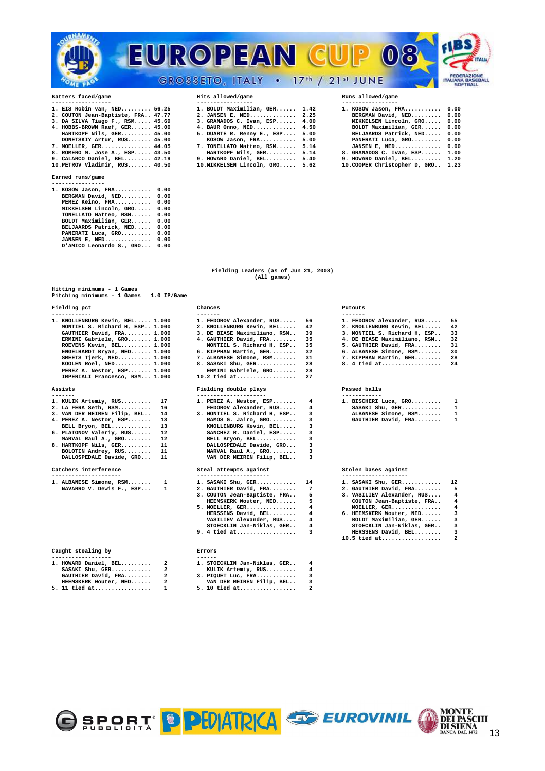

| 1. EIS Robin van, NED 56.25          |  |
|--------------------------------------|--|
| 2. COUTON Jean-Baptiste, FRA., 47.77 |  |
| 3. DA SILVA Tiago F., RSM 45.69      |  |
| 4. HOBBS-BROWN Raef, GER 45.00       |  |
| HARTKOPF Nils, GER 45.00             |  |
| DONETSKIY Artur, RUS 45.00           |  |
| 7. MOELLER, GER 44.05                |  |
| 8. ROMERO M. Jose A., ESP 43.50      |  |
| 9 CALARCO Daniel REL. 42.19          |  |

## Earned runs/game

| Earned runs/game                               |              |
|------------------------------------------------|--------------|
| 1. KOSOW Jason, FRA<br>BERGMAN David, NED      | 0.00<br>0.00 |
| PEREZ Keino, FRA<br>MIKKELSEN Lincoln, GRO     | 0.00<br>0.00 |
| TONELLATO Matteo, RSM<br>BOLDT Maximilian, GER | 0.00<br>0.00 |
| BELJAARDS Patrick, NED<br>PANERATI Luca, GRO   | 0.00<br>0.00 |
| JANSEN E, NED<br>D'AMICO Leonardo S., GRO      | 0.00<br>0.00 |

| 1. EIS Robin van, NED 56.25          | 1. BOLDT Maximilian, GER 1.42     | 1. KOSOW Jason, FRA 0.00           |  |
|--------------------------------------|-----------------------------------|------------------------------------|--|
| 2. COUTON Jean-Baptiste, FRA., 47.77 | 2. JANSEN E. NED 2.25             | BERGMAN David, NED 0.00            |  |
| 3. DA SILVA Tiago F., RSM 45.69      | $3.$ GRANADOS C. Ivan, ESP $4.00$ | MIKKELSEN Lincoln, GRO 0.00        |  |
| 4. HOBBS-BROWN Raef, GER 45.00       | 4. BAUR Onno, NED 4.50            | BOLDT Maximilian, GER 0.00         |  |
| HARTKOPF Nils, GER 45.00             | 5. DUARTE R. Renny E., ESP 5.00   | BELJAARDS Patrick, NED 0.00        |  |
| DONETSKIY Artur, RUS 45.00           | KOSOW Jason, FRA 5.00             | PANERATI Luca, GRO 0.00            |  |
| 7. MOELLER, GER 44.05                | 7. TONELLATO Matteo, RSM 5.14     | JANSEN E. NED $0.00$               |  |
| 8. ROMERO M. Jose A., ESP 43.50      | HARTKOPF Nils, GER 5.14           | 8. GRANADOS C. Ivan, ESP 1.00      |  |
| 9. CALARCO Daniel, BEL 42.19         | 9. HOWARD Daniel, BEL 5.40        | 9. HOWARD Daniel, BEL 1.20         |  |
| 10.PETROV Vladimir, RUS 40.50        | 10. MIKKELSEN Lincoln, GRO 5.62   | 10. COOPER Christopher D, GRO 1.23 |  |

|        | 1. KOSOW Jason, FRA               | 0.00 |
|--------|-----------------------------------|------|
|        | BERGMAN David, NED                | 0.00 |
|        | MIKKELSEN Lincoln, GRO            | 0.00 |
|        | BOLDT Maximilian, GER             | 0.00 |
|        | BELJAARDS Patrick, NED            | 0.00 |
|        | PANERATI Luca, GRO                | 0.00 |
|        | JANSEN E, NED                     | 0.00 |
|        | 8. GRANADOS C. Ivan, ESP          | 1.00 |
| $\sim$ | $m = m + m$ $m = 1, 1, 2, \ldots$ |      |

### **Fielding Leaders (as of Jun 21, 2008) (All games)**

| Hitting minimums - 1 Games                   |                              |    |                              |              |
|----------------------------------------------|------------------------------|----|------------------------------|--------------|
| Pitching minimums - 1 Games<br>$1.0$ IP/Game |                              |    |                              |              |
| Fielding pct                                 | Chances                      |    | Putouts                      |              |
|                                              | -------                      |    |                              |              |
| 1. KNOLLENBURG Kevin, BEL 1.000              | 1. FEDOROV Alexander, RUS    | 56 | 1. FEDOROV Alexander, RUS    | 55.          |
| MONTIEL S. Richard H. ESP 1.000              | 2. KNOLLENBURG Kevin, BEL    | 42 | 2. KNOLLENBURG Kevin, BEL    | 42           |
| GAUTHIER David, FRA 1.000                    | 3. DE BIASE Maximiliano, RSM | 39 | 3. MONTIEL S. Richard H, ESP | 33           |
| ERMINI Gabriele, GRO 1.000                   | 4. GAUTHIER David, FRA       | 35 | 4. DE BIASE Maximiliano, RSM | 32           |
| ROEVENS Kevin, BEL 1.000                     | MONTIEL S. Richard H. ESP    | 35 | 5. GAUTHIER David, FRA       | 31           |
| ENGELHARDT Bryan, NED 1.000                  | 6. KIPPHAN Martin, GER       | 32 | 6. ALBANESE Simone, RSM      | 30           |
| SMEETS Tjerk, NED 1.000                      | 7. ALBANESE Simone, RSM      | 31 | 7. KIPPHAN Martin, GER       | 28           |
| KOOLEN Roel, $NED$ 1.000                     | 8. SASAKI Shu, GER           | 28 | 8. 4 tied at                 | 24           |
| PEREZ A. Nestor, ESP 1.000                   | ERMINI Gabriele, GRO         | 28 |                              |              |
| IMPERIALI Francesco, RSM 1.000               | 10.2 tied at                 | 27 |                              |              |
| Assists                                      | Fielding double plays        |    | Passed balls                 |              |
| ------<br>17                                 |                              |    | ------------                 |              |
| 1. KULIK Artemiy, RUS                        | 1. PEREZ A. Nestor, ESP      | 4  | 1. BISCHERI Luca, GRO        | 1            |
| 2. LA FERA Seth, RSM<br>16                   | FEDOROV Alexander, RUS       | 4  | SASAKI Shu, GER              | $\mathbf{1}$ |
| 3. VAN DER MEIREN Filip, BEL<br>14           | 3. MONTIEL S. Richard H, ESP | 3  | ALBANESE Simone, RSM         | $\mathbf{1}$ |
| 4. PEREZ A. Nestor, ESP<br>13                | RAMOS G. Jairo, GRO          | 3  | GAUTHIER David, FRA          |              |
| 13<br>BELL Bryon, BEL                        | KNOLLENBURG Kevin, BEL       |    |                              |              |
| $6.$ PLATONOV Valeriy, RUS<br>12             | $SANCHERZ$ R. Daniel, $RSP$  |    |                              |              |

| 6. PLATONOV VALETIV, RUS | $\pm Z$ |
|--------------------------|---------|
| MARVAL Raul A., GRO      | 12      |
| 8. HARTKOPF Nils, GER    | 11      |
| BOLOTIN Andrey, RUS      | 11      |
| DALLOSPEDALE Davide, GRO | 11      |

| ---------------          |  |
|--------------------------|--|
| 1. ALBANESE Simone, RSM  |  |
| NAVARRO V. Dewis F., ESP |  |

### **Caught stealing by Errors**

| 1. HOWARD Daniel, BEL | $\overline{a}$          | 1. STOE     |
|-----------------------|-------------------------|-------------|
| SASAKI Shu, GER       | $\mathbf{2}$            | <b>KULI</b> |
| GAUTHIER David, FRA   | $\mathbf{2}$            | 3. PIOU     |
| HEEMSKERK Wouter, NED | $\overline{\mathbf{2}}$ | VAN         |
|                       |                         | $ -$        |

### **1. HOWARD Daniel, BEL......... 2 1. STOECKLIN Jan-Niklas, GER.. 4 SASAKI Shu, GER............ 2 KULIK Artemiy, RUS......... 4 GAUTHIER David, FRA........ 2 3. PIQUET Luc, FRA............ 3 HEEMSKERK WOUter, NED...... 2** VAN DER MEIREN Filip, BEL.. 3<br>5. 11 tied at................. 1 5. 10 tied at.................. 2

| Fielding pct                                                                                                                                                                                                                                                                                                           | Chances                                                                                                                                                                                                                                                                       |                                                          | Putouts                                                                                                                                                                                                |
|------------------------------------------------------------------------------------------------------------------------------------------------------------------------------------------------------------------------------------------------------------------------------------------------------------------------|-------------------------------------------------------------------------------------------------------------------------------------------------------------------------------------------------------------------------------------------------------------------------------|----------------------------------------------------------|--------------------------------------------------------------------------------------------------------------------------------------------------------------------------------------------------------|
| 1. KNOLLENBURG Kevin, BEL 1.000<br>MONTIEL S. Richard H, ESP 1.000<br>GAUTHIER David, FRA 1.000<br>ERMINI Gabriele, GRO 1.000<br>ROEVENS Kevin, BEL 1.000<br>ENGELHARDT Bryan, NED 1.000<br>SMEETS Tjerk, NED 1.000<br>KOOLEN Roel, NED 1.000<br>PEREZ A. Nestor, ESP 1.000<br>IMPERIALI Francesco, RSM 1.000          | -------<br>1. FEDOROV Alexander, RUS<br>2. KNOLLENBURG Kevin, BEL<br>3. DE BIASE Maximiliano, RSM<br>4. GAUTHIER David, FRA<br>MONTIEL S. Richard H, ESP<br>6. KIPPHAN Martin, GER<br>7. ALBANESE Simone, RSM<br>8. SASAKI Shu, GER<br>ERMINI Gabriele, GRO<br>$10.2$ tied at | 56<br>42<br>39<br>35<br>35<br>32<br>31<br>28<br>28<br>27 | -------<br>1. FEDOROV Alexander,<br>2. KNOLLENBURG Kevin,<br>3. MONTIEL S. Richard<br>4. DE BIASE Maximilia<br>5. GAUTHIER David, FR<br>6. ALBANESE Simone, R<br>7. KIPPHAN Martin, GE<br>8. 4 tied at |
| Assists                                                                                                                                                                                                                                                                                                                | Fielding double plays                                                                                                                                                                                                                                                         |                                                          | Passed balls                                                                                                                                                                                           |
| 1. KULIK Artemiy, RUS<br>17<br>16<br>2. LA FERA Seth, RSM<br>3. VAN DER MEIREN Filip, BEL<br>14<br>13<br>4. PEREZ A. Nestor, ESP<br>13<br>BELL Bryon, BEL<br>12<br>6. PLATONOV Valeriy, RUS<br>12<br>MARVAL Raul A., GRO<br>8. HARTKOPF Nils, GER<br>11<br>BOLOTIN Andrey, RUS<br>11<br>DALLOSPEDALE Davide, GRO<br>11 | 1. PEREZ A. Nestor, ESP<br>FEDOROV Alexander, RUS<br>3. MONTIEL S. Richard H, ESP<br>RAMOS G. Jairo, GRO<br>KNOLLENBURG Kevin, BEL<br>SANCHEZ R. Daniel, ESP<br>BELL Bryon, BEL<br>DALLOSPEDALE Davide, GRO<br>MARVAL Raul A., GRO<br>VAN DER MEIREN Filip, BEL               | 4<br>4<br>3<br>3<br>з<br>3<br>3<br>з<br>3<br>3           | 1. BISCHERI Luca, GRO<br>SASAKI Shu, GER<br>ALBANESE Simone, R<br>GAUTHIER David, FR                                                                                                                   |
| Catchers interference                                                                                                                                                                                                                                                                                                  | Steal attempts against                                                                                                                                                                                                                                                        |                                                          | Stolen bases against                                                                                                                                                                                   |
| 1. ALBANESE Simone, RSM<br>1<br>NAVARRO V. Dewis F., ESP<br>1                                                                                                                                                                                                                                                          | 1. SASAKI Shu, GER<br>2. GAUTHIER David, FRA<br>3. COUTON Jean-Baptiste, FRA<br>HEEMSKERK Wouter, NED<br>5. MOELLER, GER<br>HERSSENS David, BEL<br>VASILIEV Alexander, RUS<br>STOECKLIN Jan-Niklas, GER<br>9. 4 tied at                                                       | 14<br>7<br>5<br>5<br>4<br>4<br>4<br>4<br>з               | 1. SASAKI Shu, GER<br>2. GAUTHIER David, FR<br>3. VASILIEV Alexander<br>COUTON Jean-Baptis<br>MOELLER, GER<br>6. HEEMSKERK Wouter,<br>BOLDT Maximilian,<br>STOECKLIN Jan-Nikl<br>HERSSENS David, BE    |

| 1. STOECKLIN Jan-Niklas, GER |  |
|------------------------------|--|
| KULIK Artemiy, RUS           |  |
| 3. PIQUET Luc, FRA           |  |
| VAN DER MEIREN Filip, BEL    |  |

| 1. FEDOROV Alexander, RUS    | 55 |
|------------------------------|----|
| 2. KNOLLENBURG Kevin, BEL    | 42 |
| 3. MONTIEL S. Richard H. ESP | 33 |
| 4. DE BIASE Maximiliano, RSM | 32 |
| 5. GAUTHIER David, FRA       | 31 |
| 6. ALBANESE Simone, RSM      | 30 |
| 7. KIPPHAN Martin, GER       | 28 |
| 8. 4 tied at                 | 24 |
|                              |    |

| 1. BISCHERI Luca, GRO | 1 |
|-----------------------|---|
| SASAKI Shu, GER       | 1 |
| ALBANESE Simone, RSM  | 1 |
| GAUTHIER David, FRA   | 1 |
|                       |   |

| 1. ALBANESE Simone, RSM 1  | 1. SASAKI Shu, GER 14                                             | 1. SASAKI Shu, GER 12        |                         |
|----------------------------|-------------------------------------------------------------------|------------------------------|-------------------------|
| NAVARRO V. Dewis F., ESP 1 | 2. GAUTHIER David, FRA 7                                          | 2. GAUTHIER David, FRA 5     |                         |
|                            | 3. COUTON Jean-Baptiste, FRA 5                                    | 3. VASILIEV Alexander, RUS 4 |                         |
|                            | HEEMSKERK Wouter, NED 5                                           | COUTON Jean-Baptiste, FRA 4  |                         |
|                            | $5. \text{ MOELLER}, \text{ GER} \dots \dots \dots \dots \dots$ 4 | MOELLER, GER 4               |                         |
|                            | HERSSENS David, BEL 4                                             | 6. HEEMSKERK Wouter, NED     | $\overline{\mathbf{3}}$ |
|                            | VASILIEV Alexander, RUS 4                                         | BOLDT Maximilian, GER 3      |                         |
|                            | STOECKLIN Jan-Niklas, GER 4                                       | STOECKLIN Jan-Niklas, GER 3  |                         |
|                            | 9. 4 tied at                                                      | HERSSENS David, BEL          | $\overline{\mathbf{3}}$ |
|                            |                                                                   | $10.5$ tied at               | $\overline{\mathbf{2}}$ |
|                            |                                                                   |                              |                         |